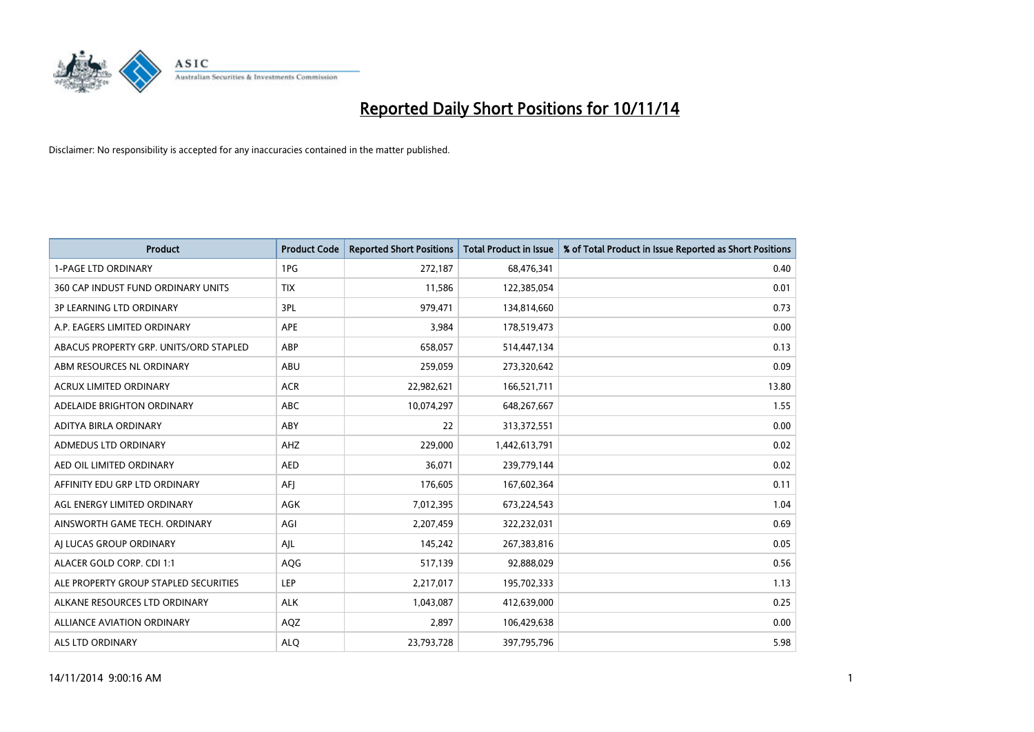

| <b>Product</b>                         | <b>Product Code</b> | <b>Reported Short Positions</b> | <b>Total Product in Issue</b> | % of Total Product in Issue Reported as Short Positions |
|----------------------------------------|---------------------|---------------------------------|-------------------------------|---------------------------------------------------------|
| <b>1-PAGE LTD ORDINARY</b>             | 1PG                 | 272,187                         | 68,476,341                    | 0.40                                                    |
| 360 CAP INDUST FUND ORDINARY UNITS     | <b>TIX</b>          | 11,586                          | 122,385,054                   | 0.01                                                    |
| <b>3P LEARNING LTD ORDINARY</b>        | 3PL                 | 979,471                         | 134,814,660                   | 0.73                                                    |
| A.P. EAGERS LIMITED ORDINARY           | APE                 | 3,984                           | 178,519,473                   | 0.00                                                    |
| ABACUS PROPERTY GRP. UNITS/ORD STAPLED | ABP                 | 658,057                         | 514,447,134                   | 0.13                                                    |
| ABM RESOURCES NL ORDINARY              | ABU                 | 259,059                         | 273,320,642                   | 0.09                                                    |
| <b>ACRUX LIMITED ORDINARY</b>          | <b>ACR</b>          | 22,982,621                      | 166,521,711                   | 13.80                                                   |
| ADELAIDE BRIGHTON ORDINARY             | <b>ABC</b>          | 10,074,297                      | 648,267,667                   | 1.55                                                    |
| ADITYA BIRLA ORDINARY                  | ABY                 | 22                              | 313,372,551                   | 0.00                                                    |
| ADMEDUS LTD ORDINARY                   | AHZ                 | 229,000                         | 1,442,613,791                 | 0.02                                                    |
| AED OIL LIMITED ORDINARY               | <b>AED</b>          | 36,071                          | 239,779,144                   | 0.02                                                    |
| AFFINITY EDU GRP LTD ORDINARY          | AFJ                 | 176,605                         | 167,602,364                   | 0.11                                                    |
| AGL ENERGY LIMITED ORDINARY            | AGK                 | 7,012,395                       | 673,224,543                   | 1.04                                                    |
| AINSWORTH GAME TECH. ORDINARY          | AGI                 | 2,207,459                       | 322,232,031                   | 0.69                                                    |
| AI LUCAS GROUP ORDINARY                | AJL                 | 145,242                         | 267,383,816                   | 0.05                                                    |
| ALACER GOLD CORP. CDI 1:1              | AQG                 | 517,139                         | 92,888,029                    | 0.56                                                    |
| ALE PROPERTY GROUP STAPLED SECURITIES  | LEP                 | 2,217,017                       | 195,702,333                   | 1.13                                                    |
| ALKANE RESOURCES LTD ORDINARY          | <b>ALK</b>          | 1,043,087                       | 412,639,000                   | 0.25                                                    |
| <b>ALLIANCE AVIATION ORDINARY</b>      | AQZ                 | 2,897                           | 106,429,638                   | 0.00                                                    |
| ALS LTD ORDINARY                       | <b>ALO</b>          | 23,793,728                      | 397,795,796                   | 5.98                                                    |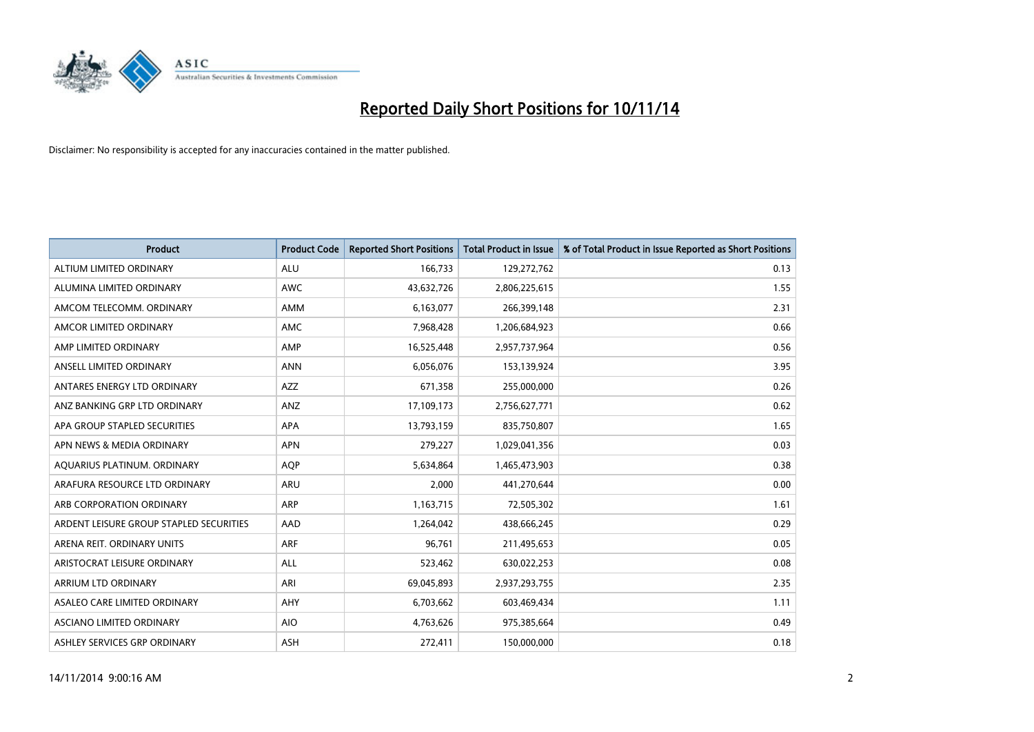

| <b>Product</b>                          | <b>Product Code</b> | <b>Reported Short Positions</b> | <b>Total Product in Issue</b> | % of Total Product in Issue Reported as Short Positions |
|-----------------------------------------|---------------------|---------------------------------|-------------------------------|---------------------------------------------------------|
| ALTIUM LIMITED ORDINARY                 | <b>ALU</b>          | 166,733                         | 129,272,762                   | 0.13                                                    |
| ALUMINA LIMITED ORDINARY                | <b>AWC</b>          | 43,632,726                      | 2,806,225,615                 | 1.55                                                    |
| AMCOM TELECOMM, ORDINARY                | <b>AMM</b>          | 6,163,077                       | 266,399,148                   | 2.31                                                    |
| AMCOR LIMITED ORDINARY                  | AMC                 | 7,968,428                       | 1,206,684,923                 | 0.66                                                    |
| AMP LIMITED ORDINARY                    | AMP                 | 16,525,448                      | 2,957,737,964                 | 0.56                                                    |
| ANSELL LIMITED ORDINARY                 | <b>ANN</b>          | 6,056,076                       | 153,139,924                   | 3.95                                                    |
| ANTARES ENERGY LTD ORDINARY             | <b>AZZ</b>          | 671,358                         | 255,000,000                   | 0.26                                                    |
| ANZ BANKING GRP LTD ORDINARY            | ANZ                 | 17,109,173                      | 2,756,627,771                 | 0.62                                                    |
| APA GROUP STAPLED SECURITIES            | <b>APA</b>          | 13,793,159                      | 835,750,807                   | 1.65                                                    |
| APN NEWS & MEDIA ORDINARY               | <b>APN</b>          | 279,227                         | 1,029,041,356                 | 0.03                                                    |
| AQUARIUS PLATINUM. ORDINARY             | <b>AOP</b>          | 5,634,864                       | 1,465,473,903                 | 0.38                                                    |
| ARAFURA RESOURCE LTD ORDINARY           | <b>ARU</b>          | 2,000                           | 441,270,644                   | 0.00                                                    |
| ARB CORPORATION ORDINARY                | ARP                 | 1,163,715                       | 72,505,302                    | 1.61                                                    |
| ARDENT LEISURE GROUP STAPLED SECURITIES | AAD                 | 1,264,042                       | 438,666,245                   | 0.29                                                    |
| ARENA REIT. ORDINARY UNITS              | <b>ARF</b>          | 96,761                          | 211,495,653                   | 0.05                                                    |
| ARISTOCRAT LEISURE ORDINARY             | ALL                 | 523,462                         | 630,022,253                   | 0.08                                                    |
| ARRIUM LTD ORDINARY                     | ARI                 | 69,045,893                      | 2,937,293,755                 | 2.35                                                    |
| ASALEO CARE LIMITED ORDINARY            | AHY                 | 6,703,662                       | 603,469,434                   | 1.11                                                    |
| ASCIANO LIMITED ORDINARY                | <b>AIO</b>          | 4,763,626                       | 975,385,664                   | 0.49                                                    |
| ASHLEY SERVICES GRP ORDINARY            | ASH                 | 272,411                         | 150,000,000                   | 0.18                                                    |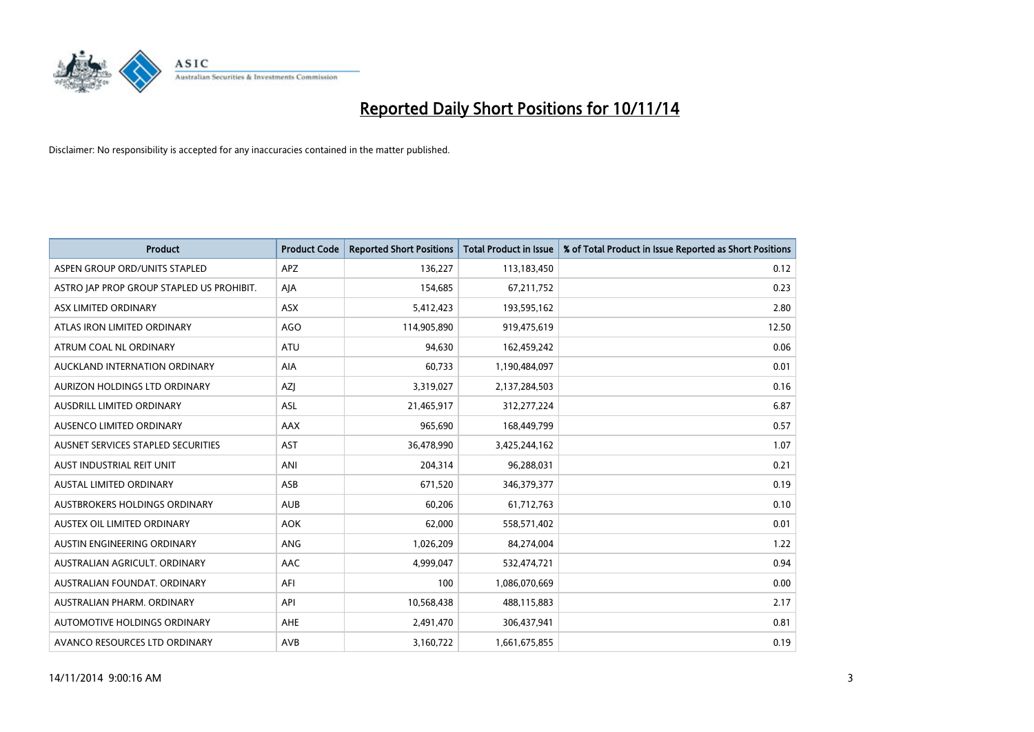

| <b>Product</b>                            | <b>Product Code</b> | <b>Reported Short Positions</b> | <b>Total Product in Issue</b> | % of Total Product in Issue Reported as Short Positions |
|-------------------------------------------|---------------------|---------------------------------|-------------------------------|---------------------------------------------------------|
| ASPEN GROUP ORD/UNITS STAPLED             | <b>APZ</b>          | 136,227                         | 113,183,450                   | 0.12                                                    |
| ASTRO JAP PROP GROUP STAPLED US PROHIBIT. | AJA                 | 154,685                         | 67,211,752                    | 0.23                                                    |
| ASX LIMITED ORDINARY                      | ASX                 | 5,412,423                       | 193,595,162                   | 2.80                                                    |
| ATLAS IRON LIMITED ORDINARY               | AGO                 | 114,905,890                     | 919,475,619                   | 12.50                                                   |
| ATRUM COAL NL ORDINARY                    | <b>ATU</b>          | 94,630                          | 162,459,242                   | 0.06                                                    |
| AUCKLAND INTERNATION ORDINARY             | <b>AIA</b>          | 60,733                          | 1,190,484,097                 | 0.01                                                    |
| AURIZON HOLDINGS LTD ORDINARY             | AZJ                 | 3,319,027                       | 2,137,284,503                 | 0.16                                                    |
| AUSDRILL LIMITED ORDINARY                 | ASL                 | 21,465,917                      | 312,277,224                   | 6.87                                                    |
| AUSENCO LIMITED ORDINARY                  | AAX                 | 965,690                         | 168,449,799                   | 0.57                                                    |
| AUSNET SERVICES STAPLED SECURITIES        | <b>AST</b>          | 36,478,990                      | 3,425,244,162                 | 1.07                                                    |
| AUST INDUSTRIAL REIT UNIT                 | ANI                 | 204,314                         | 96,288,031                    | 0.21                                                    |
| AUSTAL LIMITED ORDINARY                   | ASB                 | 671,520                         | 346,379,377                   | 0.19                                                    |
| AUSTBROKERS HOLDINGS ORDINARY             | <b>AUB</b>          | 60,206                          | 61,712,763                    | 0.10                                                    |
| AUSTEX OIL LIMITED ORDINARY               | <b>AOK</b>          | 62,000                          | 558,571,402                   | 0.01                                                    |
| AUSTIN ENGINEERING ORDINARY               | ANG                 | 1,026,209                       | 84,274,004                    | 1.22                                                    |
| AUSTRALIAN AGRICULT. ORDINARY             | AAC                 | 4,999,047                       | 532,474,721                   | 0.94                                                    |
| AUSTRALIAN FOUNDAT. ORDINARY              | AFI                 | 100                             | 1,086,070,669                 | 0.00                                                    |
| AUSTRALIAN PHARM, ORDINARY                | API                 | 10,568,438                      | 488,115,883                   | 2.17                                                    |
| AUTOMOTIVE HOLDINGS ORDINARY              | AHE                 | 2,491,470                       | 306,437,941                   | 0.81                                                    |
| AVANCO RESOURCES LTD ORDINARY             | AVB                 | 3,160,722                       | 1,661,675,855                 | 0.19                                                    |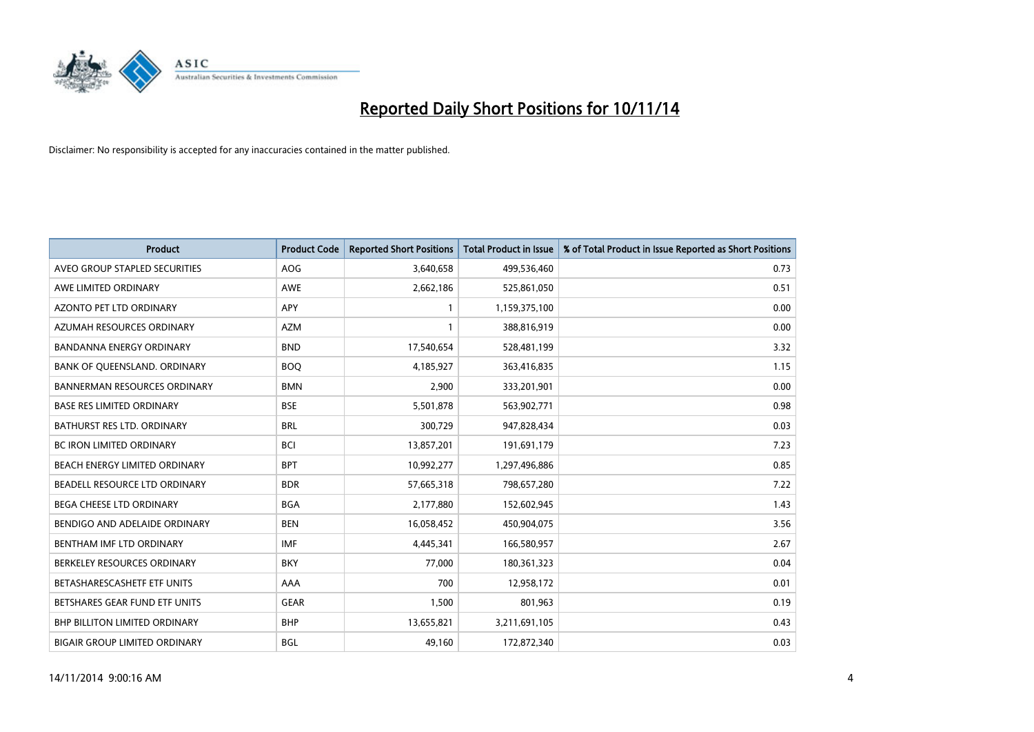

| <b>Product</b>                       | <b>Product Code</b> | <b>Reported Short Positions</b> | <b>Total Product in Issue</b> | % of Total Product in Issue Reported as Short Positions |
|--------------------------------------|---------------------|---------------------------------|-------------------------------|---------------------------------------------------------|
| AVEO GROUP STAPLED SECURITIES        | <b>AOG</b>          | 3,640,658                       | 499,536,460                   | 0.73                                                    |
| AWE LIMITED ORDINARY                 | <b>AWE</b>          | 2,662,186                       | 525,861,050                   | 0.51                                                    |
| <b>AZONTO PET LTD ORDINARY</b>       | APY                 | $\mathbf{1}$                    | 1,159,375,100                 | 0.00                                                    |
| AZUMAH RESOURCES ORDINARY            | <b>AZM</b>          | 1                               | 388,816,919                   | 0.00                                                    |
| <b>BANDANNA ENERGY ORDINARY</b>      | <b>BND</b>          | 17,540,654                      | 528,481,199                   | 3.32                                                    |
| BANK OF QUEENSLAND. ORDINARY         | <b>BOO</b>          | 4,185,927                       | 363,416,835                   | 1.15                                                    |
| <b>BANNERMAN RESOURCES ORDINARY</b>  | <b>BMN</b>          | 2,900                           | 333,201,901                   | 0.00                                                    |
| <b>BASE RES LIMITED ORDINARY</b>     | <b>BSE</b>          | 5,501,878                       | 563,902,771                   | 0.98                                                    |
| <b>BATHURST RES LTD. ORDINARY</b>    | <b>BRL</b>          | 300,729                         | 947,828,434                   | 0.03                                                    |
| <b>BC IRON LIMITED ORDINARY</b>      | <b>BCI</b>          | 13,857,201                      | 191,691,179                   | 7.23                                                    |
| BEACH ENERGY LIMITED ORDINARY        | <b>BPT</b>          | 10,992,277                      | 1,297,496,886                 | 0.85                                                    |
| BEADELL RESOURCE LTD ORDINARY        | <b>BDR</b>          | 57,665,318                      | 798,657,280                   | 7.22                                                    |
| <b>BEGA CHEESE LTD ORDINARY</b>      | <b>BGA</b>          | 2,177,880                       | 152,602,945                   | 1.43                                                    |
| BENDIGO AND ADELAIDE ORDINARY        | <b>BEN</b>          | 16,058,452                      | 450,904,075                   | 3.56                                                    |
| BENTHAM IMF LTD ORDINARY             | <b>IMF</b>          | 4,445,341                       | 166,580,957                   | 2.67                                                    |
| BERKELEY RESOURCES ORDINARY          | <b>BKY</b>          | 77,000                          | 180,361,323                   | 0.04                                                    |
| BETASHARESCASHETF ETF UNITS          | AAA                 | 700                             | 12,958,172                    | 0.01                                                    |
| BETSHARES GEAR FUND ETF UNITS        | <b>GEAR</b>         | 1,500                           | 801,963                       | 0.19                                                    |
| <b>BHP BILLITON LIMITED ORDINARY</b> | <b>BHP</b>          | 13,655,821                      | 3,211,691,105                 | 0.43                                                    |
| BIGAIR GROUP LIMITED ORDINARY        | BGL                 | 49,160                          | 172,872,340                   | 0.03                                                    |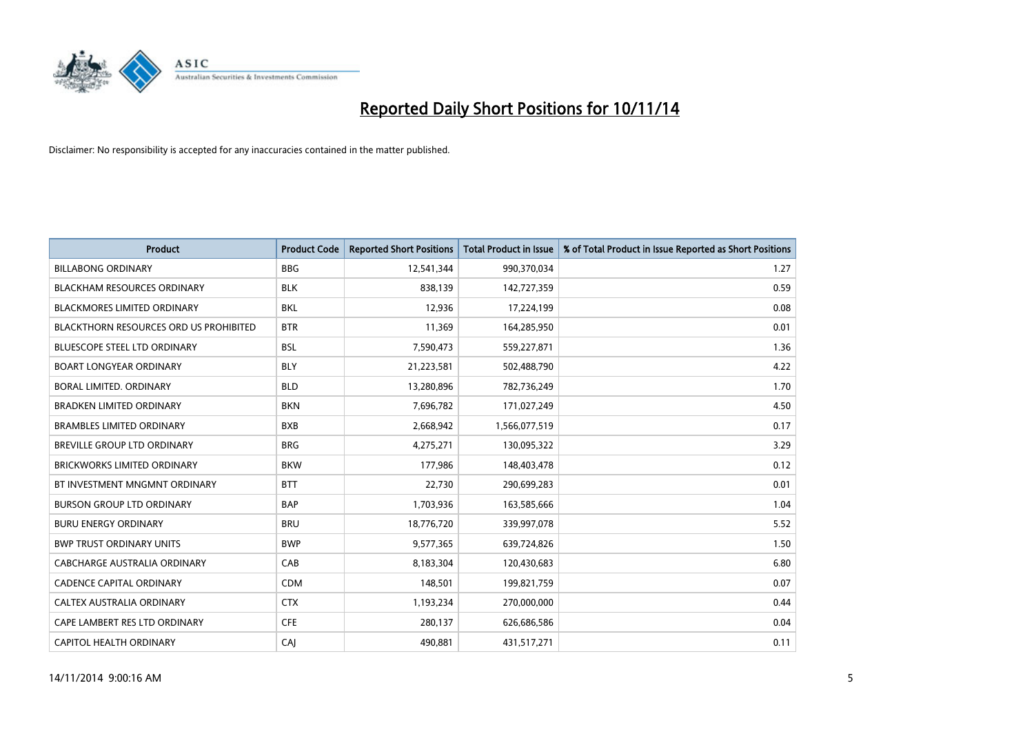

| <b>Product</b>                         | <b>Product Code</b> | <b>Reported Short Positions</b> | <b>Total Product in Issue</b> | % of Total Product in Issue Reported as Short Positions |
|----------------------------------------|---------------------|---------------------------------|-------------------------------|---------------------------------------------------------|
| <b>BILLABONG ORDINARY</b>              | <b>BBG</b>          | 12,541,344                      | 990,370,034                   | 1.27                                                    |
| <b>BLACKHAM RESOURCES ORDINARY</b>     | <b>BLK</b>          | 838,139                         | 142,727,359                   | 0.59                                                    |
| <b>BLACKMORES LIMITED ORDINARY</b>     | <b>BKL</b>          | 12,936                          | 17,224,199                    | 0.08                                                    |
| BLACKTHORN RESOURCES ORD US PROHIBITED | <b>BTR</b>          | 11,369                          | 164,285,950                   | 0.01                                                    |
| <b>BLUESCOPE STEEL LTD ORDINARY</b>    | <b>BSL</b>          | 7,590,473                       | 559,227,871                   | 1.36                                                    |
| <b>BOART LONGYEAR ORDINARY</b>         | <b>BLY</b>          | 21,223,581                      | 502,488,790                   | 4.22                                                    |
| BORAL LIMITED, ORDINARY                | <b>BLD</b>          | 13,280,896                      | 782,736,249                   | 1.70                                                    |
| <b>BRADKEN LIMITED ORDINARY</b>        | <b>BKN</b>          | 7,696,782                       | 171,027,249                   | 4.50                                                    |
| <b>BRAMBLES LIMITED ORDINARY</b>       | <b>BXB</b>          | 2,668,942                       | 1,566,077,519                 | 0.17                                                    |
| <b>BREVILLE GROUP LTD ORDINARY</b>     | <b>BRG</b>          | 4,275,271                       | 130,095,322                   | 3.29                                                    |
| BRICKWORKS LIMITED ORDINARY            | <b>BKW</b>          | 177,986                         | 148,403,478                   | 0.12                                                    |
| BT INVESTMENT MNGMNT ORDINARY          | <b>BTT</b>          | 22,730                          | 290,699,283                   | 0.01                                                    |
| <b>BURSON GROUP LTD ORDINARY</b>       | <b>BAP</b>          | 1,703,936                       | 163,585,666                   | 1.04                                                    |
| <b>BURU ENERGY ORDINARY</b>            | <b>BRU</b>          | 18,776,720                      | 339,997,078                   | 5.52                                                    |
| <b>BWP TRUST ORDINARY UNITS</b>        | <b>BWP</b>          | 9,577,365                       | 639,724,826                   | 1.50                                                    |
| CABCHARGE AUSTRALIA ORDINARY           | CAB                 | 8,183,304                       | 120,430,683                   | 6.80                                                    |
| <b>CADENCE CAPITAL ORDINARY</b>        | <b>CDM</b>          | 148,501                         | 199,821,759                   | 0.07                                                    |
| CALTEX AUSTRALIA ORDINARY              | <b>CTX</b>          | 1,193,234                       | 270,000,000                   | 0.44                                                    |
| CAPE LAMBERT RES LTD ORDINARY          | <b>CFE</b>          | 280,137                         | 626,686,586                   | 0.04                                                    |
| CAPITOL HEALTH ORDINARY                | CAJ                 | 490,881                         | 431,517,271                   | 0.11                                                    |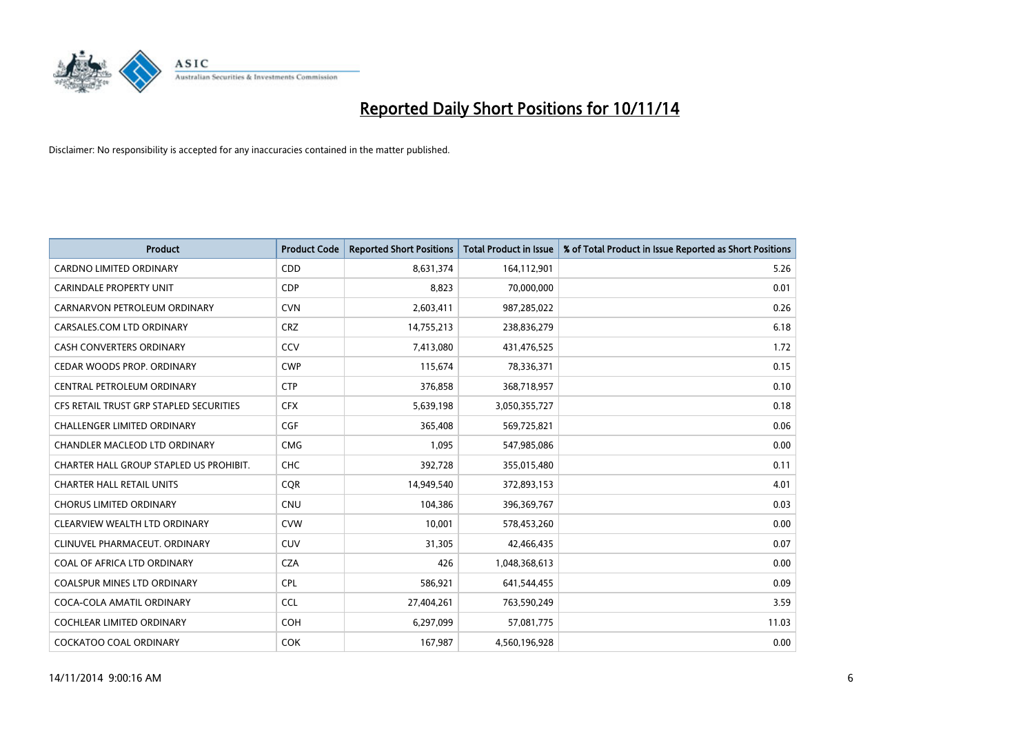

| <b>Product</b>                          | <b>Product Code</b> | <b>Reported Short Positions</b> | <b>Total Product in Issue</b> | % of Total Product in Issue Reported as Short Positions |
|-----------------------------------------|---------------------|---------------------------------|-------------------------------|---------------------------------------------------------|
| <b>CARDNO LIMITED ORDINARY</b>          | CDD                 | 8,631,374                       | 164,112,901                   | 5.26                                                    |
| <b>CARINDALE PROPERTY UNIT</b>          | <b>CDP</b>          | 8,823                           | 70,000,000                    | 0.01                                                    |
| CARNARVON PETROLEUM ORDINARY            | <b>CVN</b>          | 2,603,411                       | 987,285,022                   | 0.26                                                    |
| CARSALES.COM LTD ORDINARY               | <b>CRZ</b>          | 14,755,213                      | 238,836,279                   | 6.18                                                    |
| <b>CASH CONVERTERS ORDINARY</b>         | CCV                 | 7,413,080                       | 431,476,525                   | 1.72                                                    |
| CEDAR WOODS PROP. ORDINARY              | <b>CWP</b>          | 115,674                         | 78,336,371                    | 0.15                                                    |
| CENTRAL PETROLEUM ORDINARY              | <b>CTP</b>          | 376,858                         | 368,718,957                   | 0.10                                                    |
| CFS RETAIL TRUST GRP STAPLED SECURITIES | <b>CFX</b>          | 5,639,198                       | 3,050,355,727                 | 0.18                                                    |
| <b>CHALLENGER LIMITED ORDINARY</b>      | <b>CGF</b>          | 365,408                         | 569,725,821                   | 0.06                                                    |
| CHANDLER MACLEOD LTD ORDINARY           | <b>CMG</b>          | 1,095                           | 547,985,086                   | 0.00                                                    |
| CHARTER HALL GROUP STAPLED US PROHIBIT. | <b>CHC</b>          | 392,728                         | 355,015,480                   | 0.11                                                    |
| <b>CHARTER HALL RETAIL UNITS</b>        | <b>CQR</b>          | 14,949,540                      | 372,893,153                   | 4.01                                                    |
| <b>CHORUS LIMITED ORDINARY</b>          | CNU                 | 104,386                         | 396,369,767                   | 0.03                                                    |
| CLEARVIEW WEALTH LTD ORDINARY           | <b>CVW</b>          | 10.001                          | 578,453,260                   | 0.00                                                    |
| CLINUVEL PHARMACEUT, ORDINARY           | <b>CUV</b>          | 31,305                          | 42,466,435                    | 0.07                                                    |
| COAL OF AFRICA LTD ORDINARY             | <b>CZA</b>          | 426                             | 1,048,368,613                 | 0.00                                                    |
| <b>COALSPUR MINES LTD ORDINARY</b>      | <b>CPL</b>          | 586,921                         | 641,544,455                   | 0.09                                                    |
| COCA-COLA AMATIL ORDINARY               | <b>CCL</b>          | 27,404,261                      | 763,590,249                   | 3.59                                                    |
| <b>COCHLEAR LIMITED ORDINARY</b>        | <b>COH</b>          | 6,297,099                       | 57,081,775                    | 11.03                                                   |
| <b>COCKATOO COAL ORDINARY</b>           | <b>COK</b>          | 167,987                         | 4,560,196,928                 | 0.00                                                    |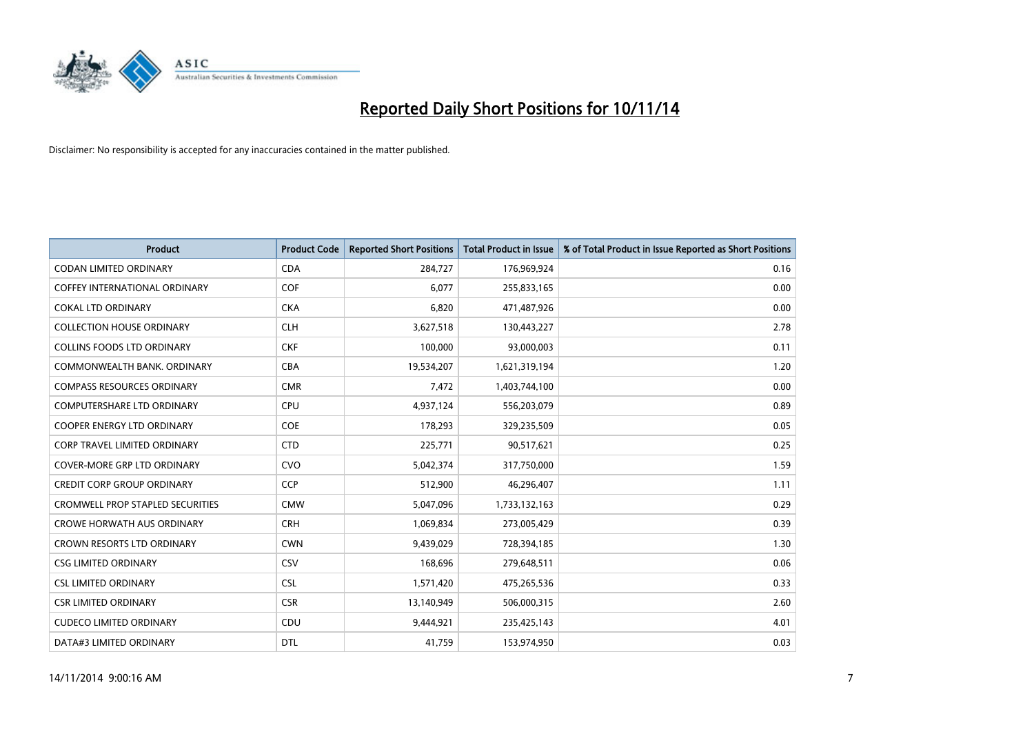

| <b>Product</b>                          | <b>Product Code</b> | <b>Reported Short Positions</b> | <b>Total Product in Issue</b> | % of Total Product in Issue Reported as Short Positions |
|-----------------------------------------|---------------------|---------------------------------|-------------------------------|---------------------------------------------------------|
| <b>CODAN LIMITED ORDINARY</b>           | <b>CDA</b>          | 284,727                         | 176,969,924                   | 0.16                                                    |
| COFFEY INTERNATIONAL ORDINARY           | <b>COF</b>          | 6,077                           | 255,833,165                   | 0.00                                                    |
| <b>COKAL LTD ORDINARY</b>               | <b>CKA</b>          | 6,820                           | 471,487,926                   | 0.00                                                    |
| <b>COLLECTION HOUSE ORDINARY</b>        | <b>CLH</b>          | 3,627,518                       | 130,443,227                   | 2.78                                                    |
| <b>COLLINS FOODS LTD ORDINARY</b>       | <b>CKF</b>          | 100,000                         | 93,000,003                    | 0.11                                                    |
| COMMONWEALTH BANK, ORDINARY             | <b>CBA</b>          | 19,534,207                      | 1,621,319,194                 | 1.20                                                    |
| <b>COMPASS RESOURCES ORDINARY</b>       | <b>CMR</b>          | 7,472                           | 1,403,744,100                 | 0.00                                                    |
| <b>COMPUTERSHARE LTD ORDINARY</b>       | <b>CPU</b>          | 4,937,124                       | 556,203,079                   | 0.89                                                    |
| <b>COOPER ENERGY LTD ORDINARY</b>       | <b>COE</b>          | 178,293                         | 329,235,509                   | 0.05                                                    |
| <b>CORP TRAVEL LIMITED ORDINARY</b>     | <b>CTD</b>          | 225,771                         | 90,517,621                    | 0.25                                                    |
| <b>COVER-MORE GRP LTD ORDINARY</b>      | <b>CVO</b>          | 5,042,374                       | 317,750,000                   | 1.59                                                    |
| <b>CREDIT CORP GROUP ORDINARY</b>       | <b>CCP</b>          | 512,900                         | 46,296,407                    | 1.11                                                    |
| <b>CROMWELL PROP STAPLED SECURITIES</b> | <b>CMW</b>          | 5,047,096                       | 1,733,132,163                 | 0.29                                                    |
| <b>CROWE HORWATH AUS ORDINARY</b>       | <b>CRH</b>          | 1,069,834                       | 273,005,429                   | 0.39                                                    |
| <b>CROWN RESORTS LTD ORDINARY</b>       | <b>CWN</b>          | 9,439,029                       | 728,394,185                   | 1.30                                                    |
| <b>CSG LIMITED ORDINARY</b>             | CSV                 | 168,696                         | 279,648,511                   | 0.06                                                    |
| <b>CSL LIMITED ORDINARY</b>             | <b>CSL</b>          | 1,571,420                       | 475,265,536                   | 0.33                                                    |
| <b>CSR LIMITED ORDINARY</b>             | <b>CSR</b>          | 13,140,949                      | 506,000,315                   | 2.60                                                    |
| <b>CUDECO LIMITED ORDINARY</b>          | CDU                 | 9,444,921                       | 235,425,143                   | 4.01                                                    |
| DATA#3 LIMITED ORDINARY                 | <b>DTL</b>          | 41,759                          | 153,974,950                   | 0.03                                                    |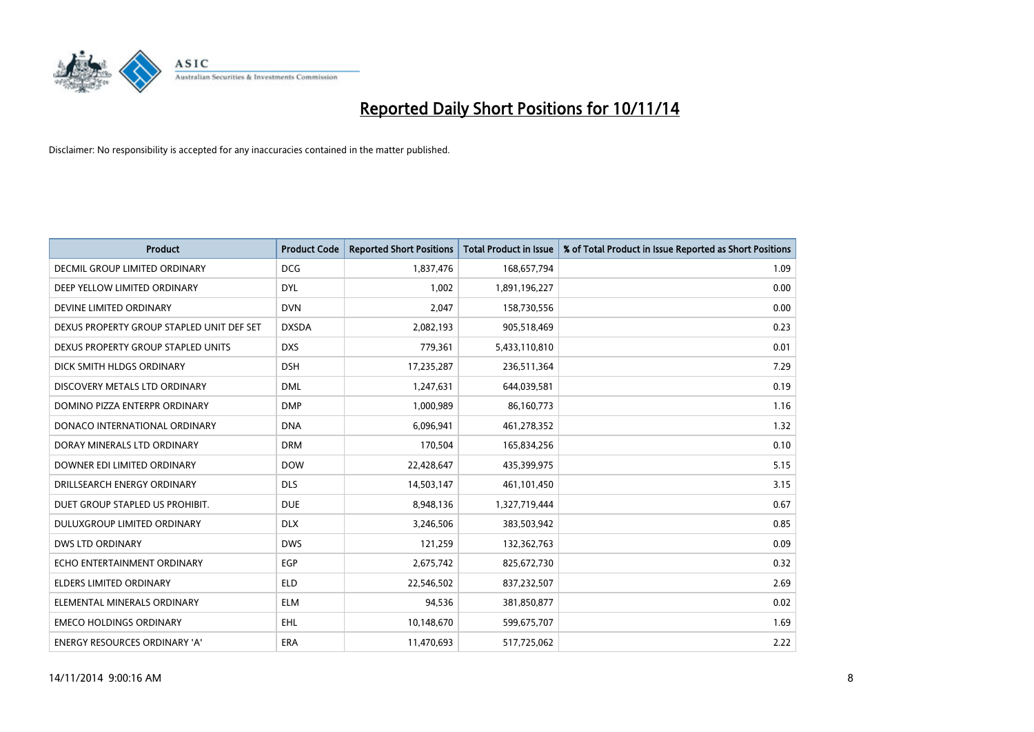

| <b>Product</b>                            | <b>Product Code</b> | <b>Reported Short Positions</b> | <b>Total Product in Issue</b> | % of Total Product in Issue Reported as Short Positions |
|-------------------------------------------|---------------------|---------------------------------|-------------------------------|---------------------------------------------------------|
| <b>DECMIL GROUP LIMITED ORDINARY</b>      | <b>DCG</b>          | 1,837,476                       | 168,657,794                   | 1.09                                                    |
| DEEP YELLOW LIMITED ORDINARY              | <b>DYL</b>          | 1,002                           | 1,891,196,227                 | 0.00                                                    |
| DEVINE LIMITED ORDINARY                   | <b>DVN</b>          | 2,047                           | 158,730,556                   | 0.00                                                    |
| DEXUS PROPERTY GROUP STAPLED UNIT DEF SET | <b>DXSDA</b>        | 2,082,193                       | 905,518,469                   | 0.23                                                    |
| DEXUS PROPERTY GROUP STAPLED UNITS        | <b>DXS</b>          | 779,361                         | 5,433,110,810                 | 0.01                                                    |
| DICK SMITH HLDGS ORDINARY                 | <b>DSH</b>          | 17,235,287                      | 236,511,364                   | 7.29                                                    |
| DISCOVERY METALS LTD ORDINARY             | <b>DML</b>          | 1,247,631                       | 644,039,581                   | 0.19                                                    |
| DOMINO PIZZA ENTERPR ORDINARY             | <b>DMP</b>          | 1,000,989                       | 86,160,773                    | 1.16                                                    |
| DONACO INTERNATIONAL ORDINARY             | <b>DNA</b>          | 6,096,941                       | 461,278,352                   | 1.32                                                    |
| DORAY MINERALS LTD ORDINARY               | <b>DRM</b>          | 170,504                         | 165,834,256                   | 0.10                                                    |
| DOWNER EDI LIMITED ORDINARY               | <b>DOW</b>          | 22,428,647                      | 435,399,975                   | 5.15                                                    |
| DRILLSEARCH ENERGY ORDINARY               | <b>DLS</b>          | 14,503,147                      | 461,101,450                   | 3.15                                                    |
| DUET GROUP STAPLED US PROHIBIT.           | <b>DUE</b>          | 8,948,136                       | 1,327,719,444                 | 0.67                                                    |
| DULUXGROUP LIMITED ORDINARY               | <b>DLX</b>          | 3,246,506                       | 383,503,942                   | 0.85                                                    |
| <b>DWS LTD ORDINARY</b>                   | <b>DWS</b>          | 121,259                         | 132,362,763                   | 0.09                                                    |
| ECHO ENTERTAINMENT ORDINARY               | <b>EGP</b>          | 2,675,742                       | 825,672,730                   | 0.32                                                    |
| ELDERS LIMITED ORDINARY                   | ELD                 | 22,546,502                      | 837,232,507                   | 2.69                                                    |
| ELEMENTAL MINERALS ORDINARY               | <b>ELM</b>          | 94,536                          | 381,850,877                   | 0.02                                                    |
| <b>EMECO HOLDINGS ORDINARY</b>            | EHL                 | 10,148,670                      | 599,675,707                   | 1.69                                                    |
| ENERGY RESOURCES ORDINARY 'A'             | ERA                 | 11,470,693                      | 517,725,062                   | 2.22                                                    |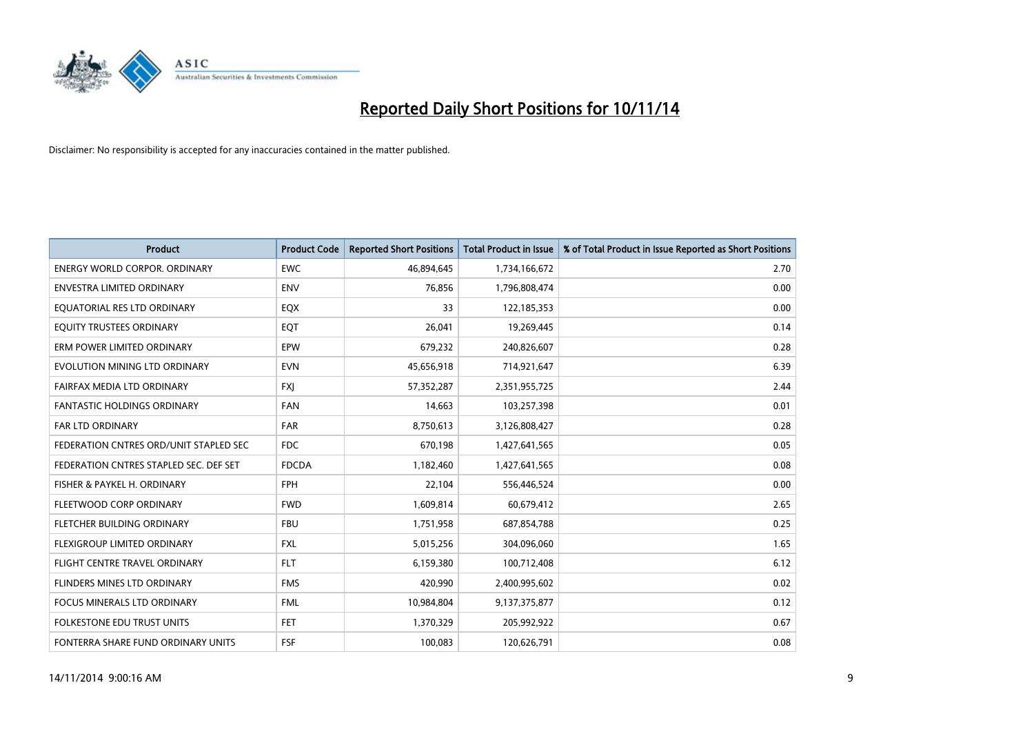

| <b>Product</b>                         | <b>Product Code</b> | <b>Reported Short Positions</b> | <b>Total Product in Issue</b> | % of Total Product in Issue Reported as Short Positions |
|----------------------------------------|---------------------|---------------------------------|-------------------------------|---------------------------------------------------------|
| <b>ENERGY WORLD CORPOR, ORDINARY</b>   | <b>EWC</b>          | 46,894,645                      | 1,734,166,672                 | 2.70                                                    |
| ENVESTRA LIMITED ORDINARY              | <b>ENV</b>          | 76,856                          | 1,796,808,474                 | 0.00                                                    |
| EQUATORIAL RES LTD ORDINARY            | EQX                 | 33                              | 122,185,353                   | 0.00                                                    |
| EQUITY TRUSTEES ORDINARY               | EQT                 | 26,041                          | 19,269,445                    | 0.14                                                    |
| ERM POWER LIMITED ORDINARY             | EPW                 | 679,232                         | 240,826,607                   | 0.28                                                    |
| EVOLUTION MINING LTD ORDINARY          | <b>EVN</b>          | 45,656,918                      | 714,921,647                   | 6.39                                                    |
| FAIRFAX MEDIA LTD ORDINARY             | <b>FXJ</b>          | 57,352,287                      | 2,351,955,725                 | 2.44                                                    |
| <b>FANTASTIC HOLDINGS ORDINARY</b>     | <b>FAN</b>          | 14,663                          | 103,257,398                   | 0.01                                                    |
| FAR LTD ORDINARY                       | <b>FAR</b>          | 8,750,613                       | 3,126,808,427                 | 0.28                                                    |
| FEDERATION CNTRES ORD/UNIT STAPLED SEC | <b>FDC</b>          | 670,198                         | 1,427,641,565                 | 0.05                                                    |
| FEDERATION CNTRES STAPLED SEC. DEF SET | <b>FDCDA</b>        | 1,182,460                       | 1,427,641,565                 | 0.08                                                    |
| FISHER & PAYKEL H. ORDINARY            | <b>FPH</b>          | 22,104                          | 556,446,524                   | 0.00                                                    |
| FLEETWOOD CORP ORDINARY                | <b>FWD</b>          | 1,609,814                       | 60,679,412                    | 2.65                                                    |
| FLETCHER BUILDING ORDINARY             | <b>FBU</b>          | 1,751,958                       | 687,854,788                   | 0.25                                                    |
| FLEXIGROUP LIMITED ORDINARY            | <b>FXL</b>          | 5,015,256                       | 304,096,060                   | 1.65                                                    |
| FLIGHT CENTRE TRAVEL ORDINARY          | <b>FLT</b>          | 6,159,380                       | 100,712,408                   | 6.12                                                    |
| FLINDERS MINES LTD ORDINARY            | <b>FMS</b>          | 420,990                         | 2,400,995,602                 | 0.02                                                    |
| <b>FOCUS MINERALS LTD ORDINARY</b>     | <b>FML</b>          | 10,984,804                      | 9,137,375,877                 | 0.12                                                    |
| <b>FOLKESTONE EDU TRUST UNITS</b>      | <b>FET</b>          | 1,370,329                       | 205,992,922                   | 0.67                                                    |
| FONTERRA SHARE FUND ORDINARY UNITS     | <b>FSF</b>          | 100,083                         | 120,626,791                   | 0.08                                                    |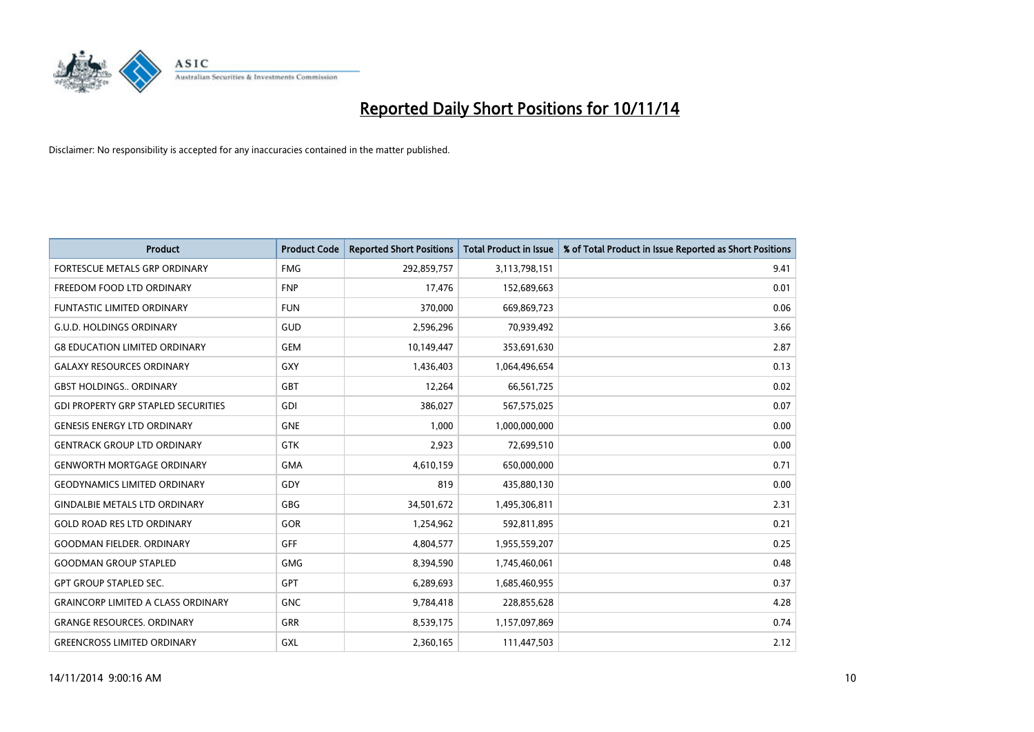

| Product                                    | <b>Product Code</b> | <b>Reported Short Positions</b> | <b>Total Product in Issue</b> | % of Total Product in Issue Reported as Short Positions |
|--------------------------------------------|---------------------|---------------------------------|-------------------------------|---------------------------------------------------------|
| FORTESCUE METALS GRP ORDINARY              | <b>FMG</b>          | 292,859,757                     | 3,113,798,151                 | 9.41                                                    |
| FREEDOM FOOD LTD ORDINARY                  | <b>FNP</b>          | 17,476                          | 152,689,663                   | 0.01                                                    |
| <b>FUNTASTIC LIMITED ORDINARY</b>          | <b>FUN</b>          | 370,000                         | 669,869,723                   | 0.06                                                    |
| <b>G.U.D. HOLDINGS ORDINARY</b>            | GUD                 | 2,596,296                       | 70,939,492                    | 3.66                                                    |
| <b>G8 EDUCATION LIMITED ORDINARY</b>       | <b>GEM</b>          | 10,149,447                      | 353,691,630                   | 2.87                                                    |
| <b>GALAXY RESOURCES ORDINARY</b>           | <b>GXY</b>          | 1,436,403                       | 1,064,496,654                 | 0.13                                                    |
| <b>GBST HOLDINGS ORDINARY</b>              | <b>GBT</b>          | 12,264                          | 66,561,725                    | 0.02                                                    |
| <b>GDI PROPERTY GRP STAPLED SECURITIES</b> | GDI                 | 386,027                         | 567,575,025                   | 0.07                                                    |
| <b>GENESIS ENERGY LTD ORDINARY</b>         | <b>GNE</b>          | 1,000                           | 1,000,000,000                 | 0.00                                                    |
| <b>GENTRACK GROUP LTD ORDINARY</b>         | <b>GTK</b>          | 2,923                           | 72,699,510                    | 0.00                                                    |
| <b>GENWORTH MORTGAGE ORDINARY</b>          | <b>GMA</b>          | 4,610,159                       | 650,000,000                   | 0.71                                                    |
| <b>GEODYNAMICS LIMITED ORDINARY</b>        | GDY                 | 819                             | 435,880,130                   | 0.00                                                    |
| <b>GINDALBIE METALS LTD ORDINARY</b>       | GBG                 | 34,501,672                      | 1,495,306,811                 | 2.31                                                    |
| <b>GOLD ROAD RES LTD ORDINARY</b>          | GOR                 | 1,254,962                       | 592,811,895                   | 0.21                                                    |
| <b>GOODMAN FIELDER, ORDINARY</b>           | GFF                 | 4,804,577                       | 1,955,559,207                 | 0.25                                                    |
| <b>GOODMAN GROUP STAPLED</b>               | GMG                 | 8,394,590                       | 1,745,460,061                 | 0.48                                                    |
| <b>GPT GROUP STAPLED SEC.</b>              | GPT                 | 6,289,693                       | 1,685,460,955                 | 0.37                                                    |
| <b>GRAINCORP LIMITED A CLASS ORDINARY</b>  | <b>GNC</b>          | 9,784,418                       | 228,855,628                   | 4.28                                                    |
| <b>GRANGE RESOURCES, ORDINARY</b>          | GRR                 | 8,539,175                       | 1,157,097,869                 | 0.74                                                    |
| <b>GREENCROSS LIMITED ORDINARY</b>         | GXL                 | 2,360,165                       | 111,447,503                   | 2.12                                                    |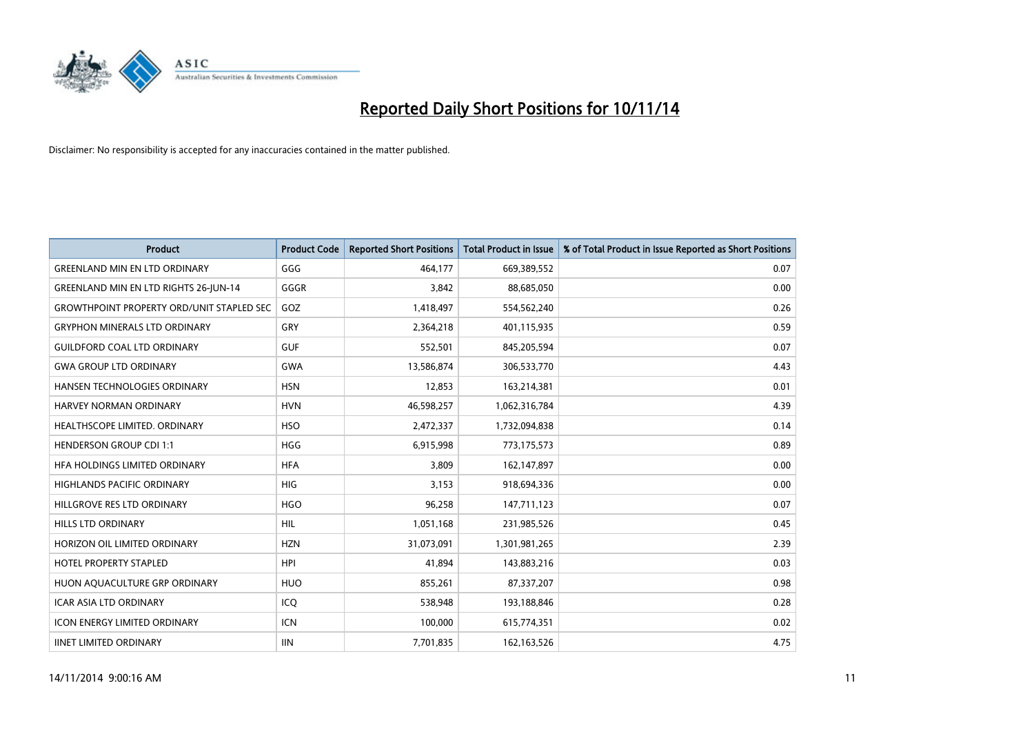

| <b>Product</b>                                   | <b>Product Code</b> | <b>Reported Short Positions</b> | <b>Total Product in Issue</b> | % of Total Product in Issue Reported as Short Positions |
|--------------------------------------------------|---------------------|---------------------------------|-------------------------------|---------------------------------------------------------|
| <b>GREENLAND MIN EN LTD ORDINARY</b>             | GGG                 | 464.177                         | 669,389,552                   | 0.07                                                    |
| <b>GREENLAND MIN EN LTD RIGHTS 26-JUN-14</b>     | GGGR                | 3,842                           | 88,685,050                    | 0.00                                                    |
| <b>GROWTHPOINT PROPERTY ORD/UNIT STAPLED SEC</b> | GOZ                 | 1,418,497                       | 554,562,240                   | 0.26                                                    |
| <b>GRYPHON MINERALS LTD ORDINARY</b>             | GRY                 | 2,364,218                       | 401,115,935                   | 0.59                                                    |
| <b>GUILDFORD COAL LTD ORDINARY</b>               | <b>GUF</b>          | 552,501                         | 845,205,594                   | 0.07                                                    |
| <b>GWA GROUP LTD ORDINARY</b>                    | <b>GWA</b>          | 13,586,874                      | 306,533,770                   | 4.43                                                    |
| HANSEN TECHNOLOGIES ORDINARY                     | <b>HSN</b>          | 12,853                          | 163,214,381                   | 0.01                                                    |
| HARVEY NORMAN ORDINARY                           | <b>HVN</b>          | 46,598,257                      | 1,062,316,784                 | 4.39                                                    |
| HEALTHSCOPE LIMITED. ORDINARY                    | <b>HSO</b>          | 2,472,337                       | 1,732,094,838                 | 0.14                                                    |
| <b>HENDERSON GROUP CDI 1:1</b>                   | <b>HGG</b>          | 6,915,998                       | 773,175,573                   | 0.89                                                    |
| HFA HOLDINGS LIMITED ORDINARY                    | <b>HFA</b>          | 3,809                           | 162,147,897                   | 0.00                                                    |
| <b>HIGHLANDS PACIFIC ORDINARY</b>                | <b>HIG</b>          | 3,153                           | 918,694,336                   | 0.00                                                    |
| HILLGROVE RES LTD ORDINARY                       | <b>HGO</b>          | 96,258                          | 147,711,123                   | 0.07                                                    |
| <b>HILLS LTD ORDINARY</b>                        | <b>HIL</b>          | 1,051,168                       | 231,985,526                   | 0.45                                                    |
| HORIZON OIL LIMITED ORDINARY                     | <b>HZN</b>          | 31,073,091                      | 1,301,981,265                 | 2.39                                                    |
| <b>HOTEL PROPERTY STAPLED</b>                    | <b>HPI</b>          | 41,894                          | 143,883,216                   | 0.03                                                    |
| HUON AQUACULTURE GRP ORDINARY                    | <b>HUO</b>          | 855,261                         | 87,337,207                    | 0.98                                                    |
| <b>ICAR ASIA LTD ORDINARY</b>                    | ICQ                 | 538,948                         | 193,188,846                   | 0.28                                                    |
| <b>ICON ENERGY LIMITED ORDINARY</b>              | <b>ICN</b>          | 100,000                         | 615,774,351                   | 0.02                                                    |
| <b>IINET LIMITED ORDINARY</b>                    | <b>IIN</b>          | 7,701,835                       | 162, 163, 526                 | 4.75                                                    |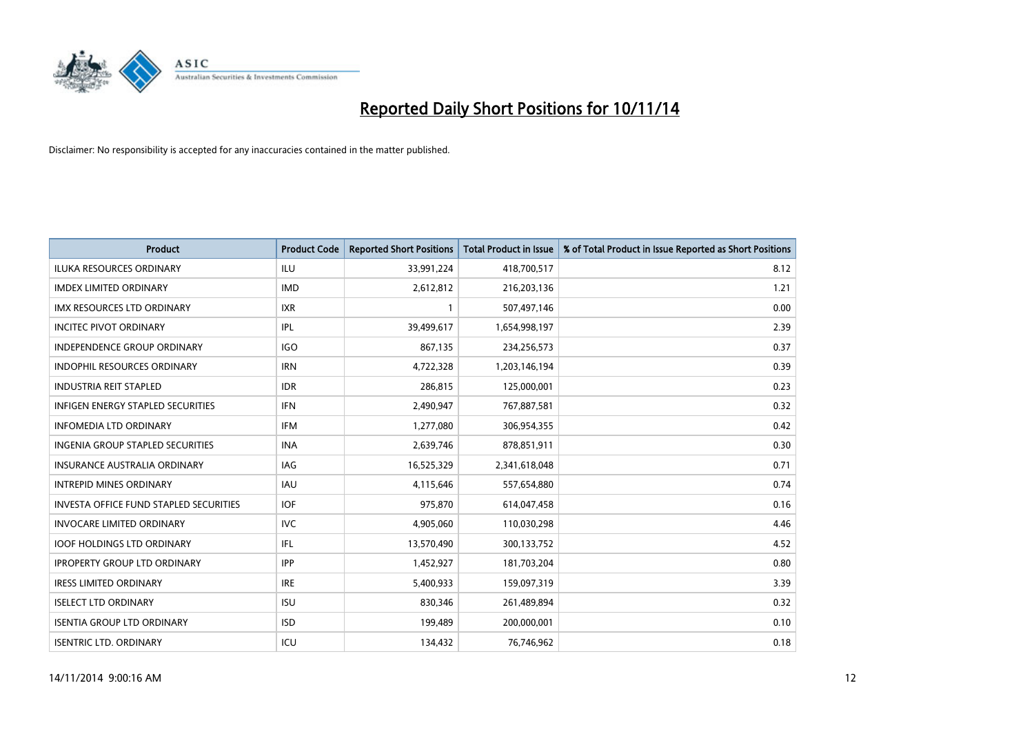

| <b>Product</b>                                | <b>Product Code</b> | <b>Reported Short Positions</b> | <b>Total Product in Issue</b> | % of Total Product in Issue Reported as Short Positions |
|-----------------------------------------------|---------------------|---------------------------------|-------------------------------|---------------------------------------------------------|
| <b>ILUKA RESOURCES ORDINARY</b>               | ILU                 | 33,991,224                      | 418,700,517                   | 8.12                                                    |
| <b>IMDEX LIMITED ORDINARY</b>                 | <b>IMD</b>          | 2,612,812                       | 216,203,136                   | 1.21                                                    |
| <b>IMX RESOURCES LTD ORDINARY</b>             | <b>IXR</b>          | $\mathbf{1}$                    | 507,497,146                   | 0.00                                                    |
| <b>INCITEC PIVOT ORDINARY</b>                 | IPL                 | 39,499,617                      | 1,654,998,197                 | 2.39                                                    |
| <b>INDEPENDENCE GROUP ORDINARY</b>            | <b>IGO</b>          | 867,135                         | 234,256,573                   | 0.37                                                    |
| <b>INDOPHIL RESOURCES ORDINARY</b>            | <b>IRN</b>          | 4,722,328                       | 1,203,146,194                 | 0.39                                                    |
| <b>INDUSTRIA REIT STAPLED</b>                 | <b>IDR</b>          | 286,815                         | 125,000,001                   | 0.23                                                    |
| <b>INFIGEN ENERGY STAPLED SECURITIES</b>      | <b>IFN</b>          | 2,490,947                       | 767,887,581                   | 0.32                                                    |
| <b>INFOMEDIA LTD ORDINARY</b>                 | <b>IFM</b>          | 1,277,080                       | 306,954,355                   | 0.42                                                    |
| <b>INGENIA GROUP STAPLED SECURITIES</b>       | <b>INA</b>          | 2,639,746                       | 878,851,911                   | 0.30                                                    |
| <b>INSURANCE AUSTRALIA ORDINARY</b>           | <b>IAG</b>          | 16,525,329                      | 2,341,618,048                 | 0.71                                                    |
| <b>INTREPID MINES ORDINARY</b>                | <b>IAU</b>          | 4,115,646                       | 557,654,880                   | 0.74                                                    |
| <b>INVESTA OFFICE FUND STAPLED SECURITIES</b> | <b>IOF</b>          | 975,870                         | 614,047,458                   | 0.16                                                    |
| <b>INVOCARE LIMITED ORDINARY</b>              | <b>IVC</b>          | 4,905,060                       | 110,030,298                   | 4.46                                                    |
| <b>IOOF HOLDINGS LTD ORDINARY</b>             | IFL                 | 13,570,490                      | 300,133,752                   | 4.52                                                    |
| <b>IPROPERTY GROUP LTD ORDINARY</b>           | <b>IPP</b>          | 1,452,927                       | 181,703,204                   | 0.80                                                    |
| <b>IRESS LIMITED ORDINARY</b>                 | <b>IRE</b>          | 5,400,933                       | 159,097,319                   | 3.39                                                    |
| <b>ISELECT LTD ORDINARY</b>                   | <b>ISU</b>          | 830,346                         | 261,489,894                   | 0.32                                                    |
| <b>ISENTIA GROUP LTD ORDINARY</b>             | <b>ISD</b>          | 199,489                         | 200,000,001                   | 0.10                                                    |
| <b>ISENTRIC LTD. ORDINARY</b>                 | ICU                 | 134,432                         | 76,746,962                    | 0.18                                                    |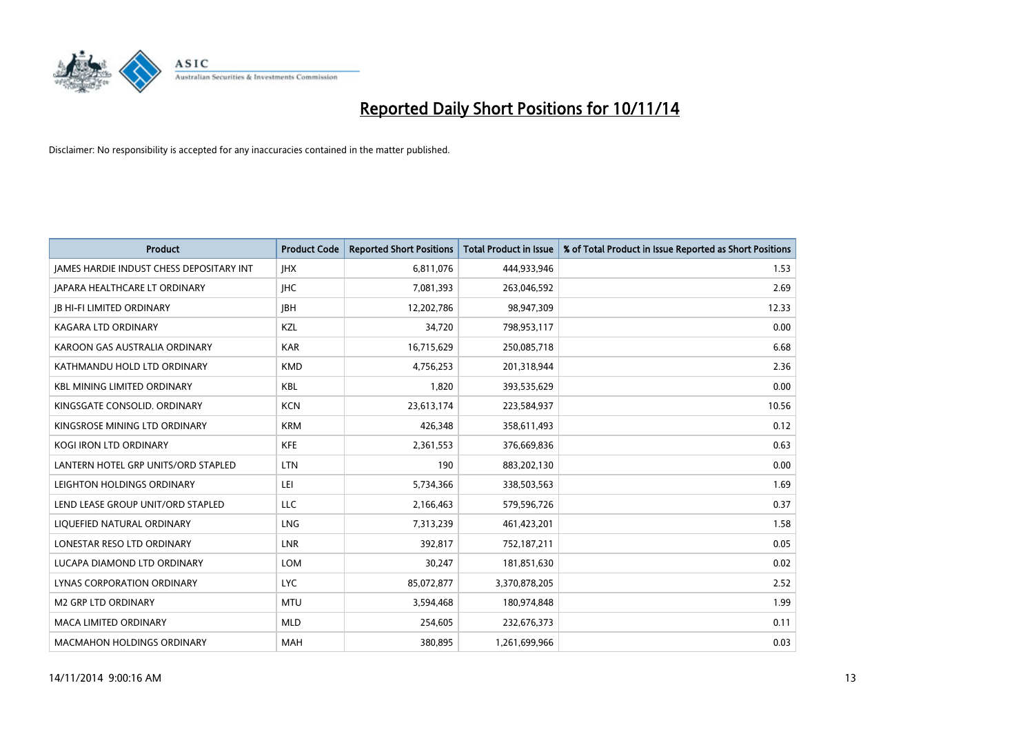

| <b>Product</b>                                  | <b>Product Code</b> | <b>Reported Short Positions</b> | <b>Total Product in Issue</b> | % of Total Product in Issue Reported as Short Positions |
|-------------------------------------------------|---------------------|---------------------------------|-------------------------------|---------------------------------------------------------|
| <b>JAMES HARDIE INDUST CHESS DEPOSITARY INT</b> | <b>IHX</b>          | 6,811,076                       | 444,933,946                   | 1.53                                                    |
| JAPARA HEALTHCARE LT ORDINARY                   | <b>IHC</b>          | 7,081,393                       | 263,046,592                   | 2.69                                                    |
| <b>IB HI-FI LIMITED ORDINARY</b>                | <b>IBH</b>          | 12,202,786                      | 98,947,309                    | 12.33                                                   |
| <b>KAGARA LTD ORDINARY</b>                      | <b>KZL</b>          | 34,720                          | 798,953,117                   | 0.00                                                    |
| KAROON GAS AUSTRALIA ORDINARY                   | <b>KAR</b>          | 16,715,629                      | 250,085,718                   | 6.68                                                    |
| KATHMANDU HOLD LTD ORDINARY                     | <b>KMD</b>          | 4,756,253                       | 201,318,944                   | 2.36                                                    |
| <b>KBL MINING LIMITED ORDINARY</b>              | <b>KBL</b>          | 1,820                           | 393,535,629                   | 0.00                                                    |
| KINGSGATE CONSOLID. ORDINARY                    | <b>KCN</b>          | 23,613,174                      | 223,584,937                   | 10.56                                                   |
| KINGSROSE MINING LTD ORDINARY                   | <b>KRM</b>          | 426,348                         | 358,611,493                   | 0.12                                                    |
| <b>KOGI IRON LTD ORDINARY</b>                   | <b>KFE</b>          | 2,361,553                       | 376,669,836                   | 0.63                                                    |
| LANTERN HOTEL GRP UNITS/ORD STAPLED             | <b>LTN</b>          | 190                             | 883,202,130                   | 0.00                                                    |
| LEIGHTON HOLDINGS ORDINARY                      | LEI                 | 5,734,366                       | 338,503,563                   | 1.69                                                    |
| LEND LEASE GROUP UNIT/ORD STAPLED               | LLC                 | 2,166,463                       | 579,596,726                   | 0.37                                                    |
| LIQUEFIED NATURAL ORDINARY                      | LNG                 | 7,313,239                       | 461,423,201                   | 1.58                                                    |
| LONESTAR RESO LTD ORDINARY                      | LNR                 | 392,817                         | 752,187,211                   | 0.05                                                    |
| LUCAPA DIAMOND LTD ORDINARY                     | LOM                 | 30,247                          | 181,851,630                   | 0.02                                                    |
| LYNAS CORPORATION ORDINARY                      | LYC                 | 85,072,877                      | 3,370,878,205                 | 2.52                                                    |
| <b>M2 GRP LTD ORDINARY</b>                      | <b>MTU</b>          | 3,594,468                       | 180,974,848                   | 1.99                                                    |
| <b>MACA LIMITED ORDINARY</b>                    | <b>MLD</b>          | 254,605                         | 232,676,373                   | 0.11                                                    |
| <b>MACMAHON HOLDINGS ORDINARY</b>               | <b>MAH</b>          | 380,895                         | 1,261,699,966                 | 0.03                                                    |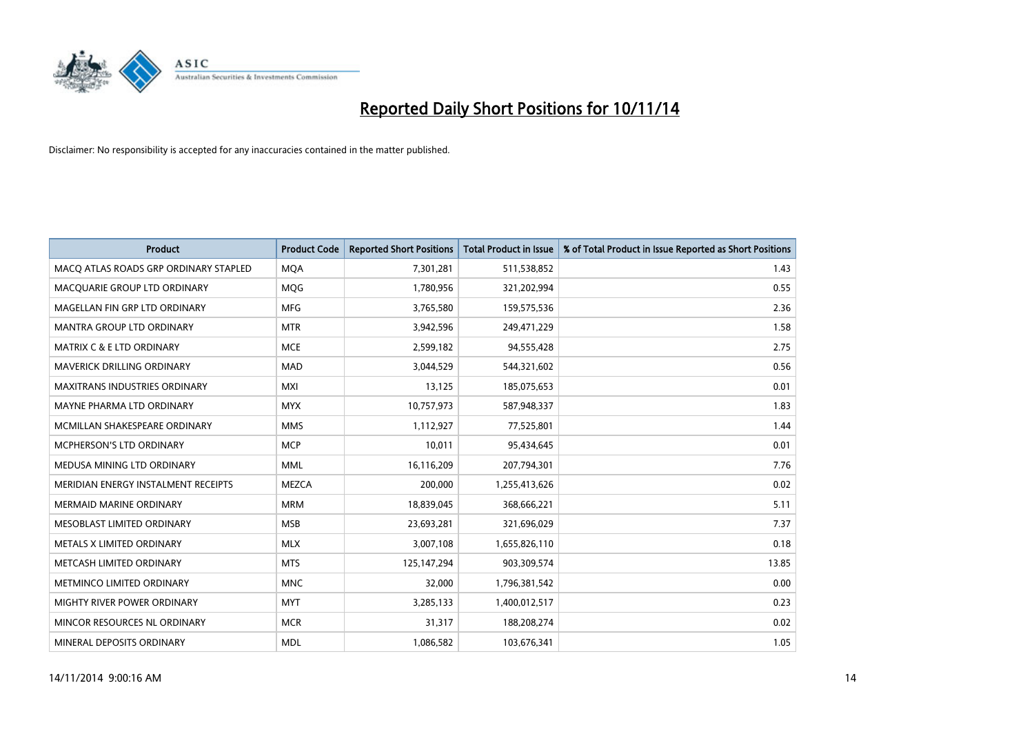

| <b>Product</b>                        | <b>Product Code</b> | <b>Reported Short Positions</b> | <b>Total Product in Issue</b> | % of Total Product in Issue Reported as Short Positions |
|---------------------------------------|---------------------|---------------------------------|-------------------------------|---------------------------------------------------------|
| MACO ATLAS ROADS GRP ORDINARY STAPLED | <b>MQA</b>          | 7,301,281                       | 511,538,852                   | 1.43                                                    |
| MACQUARIE GROUP LTD ORDINARY          | <b>MQG</b>          | 1,780,956                       | 321,202,994                   | 0.55                                                    |
| MAGELLAN FIN GRP LTD ORDINARY         | <b>MFG</b>          | 3,765,580                       | 159,575,536                   | 2.36                                                    |
| <b>MANTRA GROUP LTD ORDINARY</b>      | <b>MTR</b>          | 3,942,596                       | 249,471,229                   | 1.58                                                    |
| <b>MATRIX C &amp; E LTD ORDINARY</b>  | <b>MCE</b>          | 2,599,182                       | 94,555,428                    | 2.75                                                    |
| MAVERICK DRILLING ORDINARY            | <b>MAD</b>          | 3,044,529                       | 544,321,602                   | 0.56                                                    |
| <b>MAXITRANS INDUSTRIES ORDINARY</b>  | <b>MXI</b>          | 13,125                          | 185,075,653                   | 0.01                                                    |
| MAYNE PHARMA LTD ORDINARY             | <b>MYX</b>          | 10,757,973                      | 587,948,337                   | 1.83                                                    |
| MCMILLAN SHAKESPEARE ORDINARY         | <b>MMS</b>          | 1,112,927                       | 77,525,801                    | 1.44                                                    |
| <b>MCPHERSON'S LTD ORDINARY</b>       | <b>MCP</b>          | 10,011                          | 95,434,645                    | 0.01                                                    |
| MEDUSA MINING LTD ORDINARY            | <b>MML</b>          | 16,116,209                      | 207,794,301                   | 7.76                                                    |
| MERIDIAN ENERGY INSTALMENT RECEIPTS   | MEZCA               | 200,000                         | 1,255,413,626                 | 0.02                                                    |
| <b>MERMAID MARINE ORDINARY</b>        | <b>MRM</b>          | 18,839,045                      | 368,666,221                   | 5.11                                                    |
| MESOBLAST LIMITED ORDINARY            | <b>MSB</b>          | 23,693,281                      | 321,696,029                   | 7.37                                                    |
| METALS X LIMITED ORDINARY             | <b>MLX</b>          | 3,007,108                       | 1,655,826,110                 | 0.18                                                    |
| METCASH LIMITED ORDINARY              | <b>MTS</b>          | 125,147,294                     | 903,309,574                   | 13.85                                                   |
| METMINCO LIMITED ORDINARY             | <b>MNC</b>          | 32,000                          | 1,796,381,542                 | 0.00                                                    |
| MIGHTY RIVER POWER ORDINARY           | <b>MYT</b>          | 3,285,133                       | 1,400,012,517                 | 0.23                                                    |
| MINCOR RESOURCES NL ORDINARY          | <b>MCR</b>          | 31,317                          | 188,208,274                   | 0.02                                                    |
| MINERAL DEPOSITS ORDINARY             | <b>MDL</b>          | 1,086,582                       | 103,676,341                   | 1.05                                                    |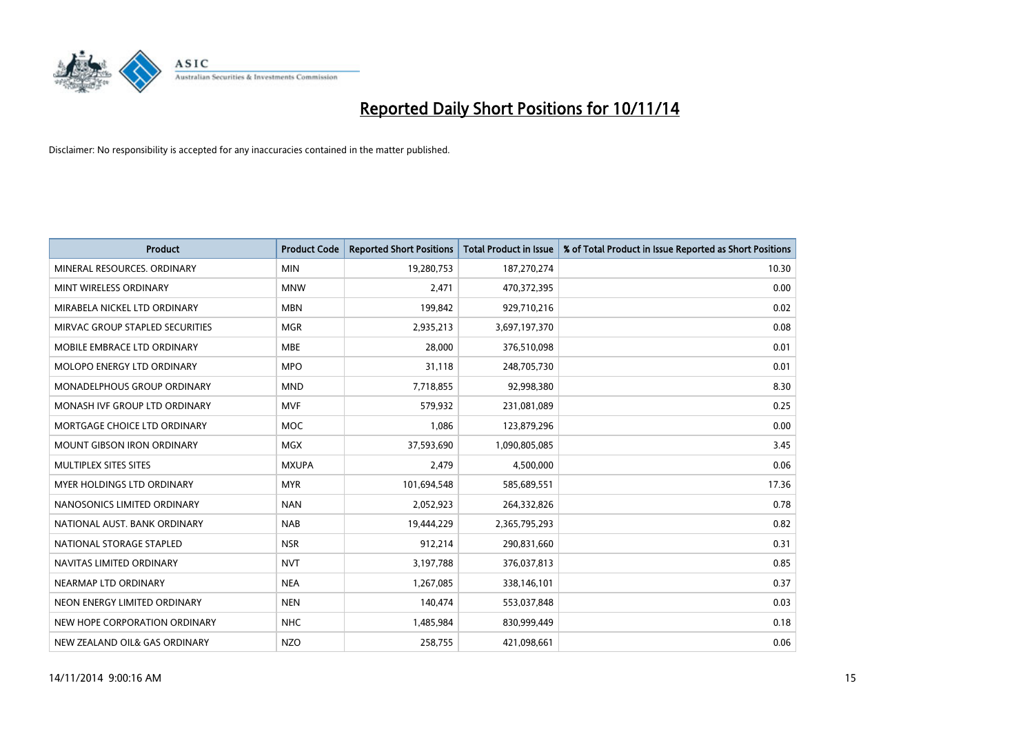

| <b>Product</b>                    | <b>Product Code</b> | <b>Reported Short Positions</b> | <b>Total Product in Issue</b> | % of Total Product in Issue Reported as Short Positions |
|-----------------------------------|---------------------|---------------------------------|-------------------------------|---------------------------------------------------------|
| MINERAL RESOURCES, ORDINARY       | <b>MIN</b>          | 19,280,753                      | 187,270,274                   | 10.30                                                   |
| MINT WIRELESS ORDINARY            | <b>MNW</b>          | 2,471                           | 470,372,395                   | 0.00                                                    |
| MIRABELA NICKEL LTD ORDINARY      | <b>MBN</b>          | 199,842                         | 929,710,216                   | 0.02                                                    |
| MIRVAC GROUP STAPLED SECURITIES   | <b>MGR</b>          | 2,935,213                       | 3,697,197,370                 | 0.08                                                    |
| MOBILE EMBRACE LTD ORDINARY       | <b>MBE</b>          | 28,000                          | 376,510,098                   | 0.01                                                    |
| MOLOPO ENERGY LTD ORDINARY        | <b>MPO</b>          | 31,118                          | 248,705,730                   | 0.01                                                    |
| MONADELPHOUS GROUP ORDINARY       | <b>MND</b>          | 7,718,855                       | 92,998,380                    | 8.30                                                    |
| MONASH IVF GROUP LTD ORDINARY     | <b>MVF</b>          | 579,932                         | 231,081,089                   | 0.25                                                    |
| MORTGAGE CHOICE LTD ORDINARY      | <b>MOC</b>          | 1,086                           | 123,879,296                   | 0.00                                                    |
| <b>MOUNT GIBSON IRON ORDINARY</b> | <b>MGX</b>          | 37,593,690                      | 1,090,805,085                 | 3.45                                                    |
| MULTIPLEX SITES SITES             | <b>MXUPA</b>        | 2,479                           | 4,500,000                     | 0.06                                                    |
| MYER HOLDINGS LTD ORDINARY        | <b>MYR</b>          | 101,694,548                     | 585,689,551                   | 17.36                                                   |
| NANOSONICS LIMITED ORDINARY       | <b>NAN</b>          | 2,052,923                       | 264,332,826                   | 0.78                                                    |
| NATIONAL AUST. BANK ORDINARY      | <b>NAB</b>          | 19,444,229                      | 2,365,795,293                 | 0.82                                                    |
| NATIONAL STORAGE STAPLED          | <b>NSR</b>          | 912,214                         | 290,831,660                   | 0.31                                                    |
| NAVITAS LIMITED ORDINARY          | <b>NVT</b>          | 3,197,788                       | 376,037,813                   | 0.85                                                    |
| NEARMAP LTD ORDINARY              | <b>NEA</b>          | 1,267,085                       | 338,146,101                   | 0.37                                                    |
| NEON ENERGY LIMITED ORDINARY      | <b>NEN</b>          | 140,474                         | 553,037,848                   | 0.03                                                    |
| NEW HOPE CORPORATION ORDINARY     | <b>NHC</b>          | 1,485,984                       | 830,999,449                   | 0.18                                                    |
| NEW ZEALAND OIL& GAS ORDINARY     | <b>NZO</b>          | 258,755                         | 421,098,661                   | 0.06                                                    |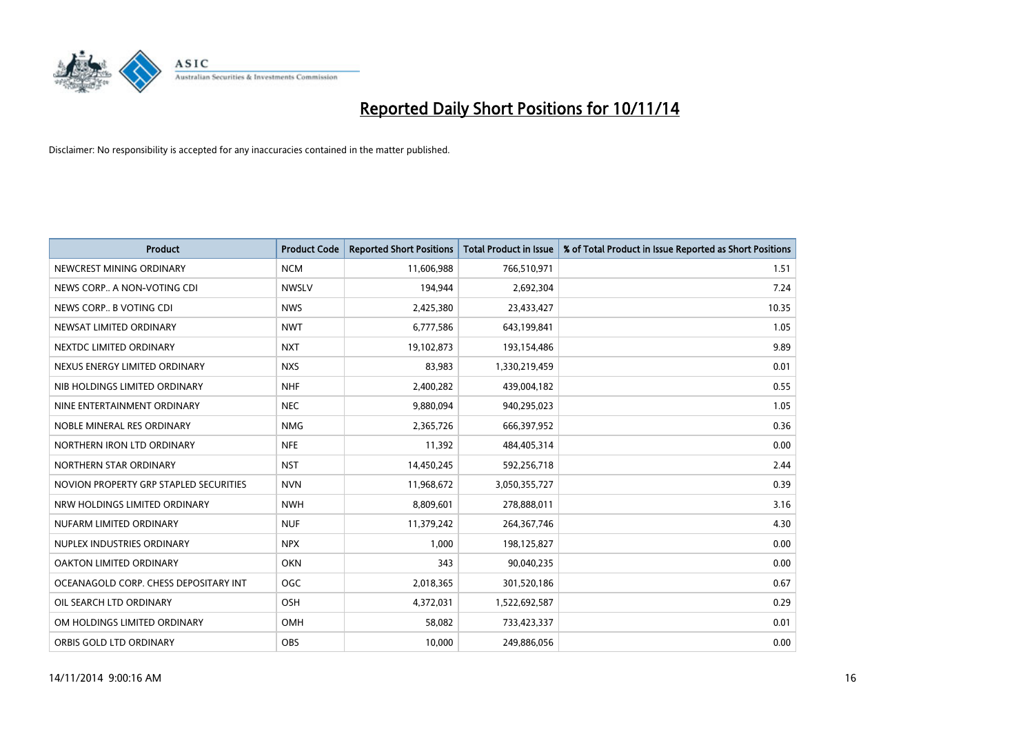

| <b>Product</b>                         | <b>Product Code</b> | <b>Reported Short Positions</b> | <b>Total Product in Issue</b> | % of Total Product in Issue Reported as Short Positions |
|----------------------------------------|---------------------|---------------------------------|-------------------------------|---------------------------------------------------------|
| NEWCREST MINING ORDINARY               | <b>NCM</b>          | 11,606,988                      | 766,510,971                   | 1.51                                                    |
| NEWS CORP A NON-VOTING CDI             | <b>NWSLV</b>        | 194,944                         | 2,692,304                     | 7.24                                                    |
| NEWS CORP B VOTING CDI                 | <b>NWS</b>          | 2,425,380                       | 23,433,427                    | 10.35                                                   |
| NEWSAT LIMITED ORDINARY                | <b>NWT</b>          | 6,777,586                       | 643,199,841                   | 1.05                                                    |
| NEXTDC LIMITED ORDINARY                | <b>NXT</b>          | 19,102,873                      | 193,154,486                   | 9.89                                                    |
| NEXUS ENERGY LIMITED ORDINARY          | <b>NXS</b>          | 83,983                          | 1,330,219,459                 | 0.01                                                    |
| NIB HOLDINGS LIMITED ORDINARY          | <b>NHF</b>          | 2,400,282                       | 439,004,182                   | 0.55                                                    |
| NINE ENTERTAINMENT ORDINARY            | <b>NEC</b>          | 9,880,094                       | 940,295,023                   | 1.05                                                    |
| NOBLE MINERAL RES ORDINARY             | <b>NMG</b>          | 2,365,726                       | 666,397,952                   | 0.36                                                    |
| NORTHERN IRON LTD ORDINARY             | <b>NFE</b>          | 11,392                          | 484,405,314                   | 0.00                                                    |
| NORTHERN STAR ORDINARY                 | <b>NST</b>          | 14,450,245                      | 592,256,718                   | 2.44                                                    |
| NOVION PROPERTY GRP STAPLED SECURITIES | <b>NVN</b>          | 11,968,672                      | 3,050,355,727                 | 0.39                                                    |
| NRW HOLDINGS LIMITED ORDINARY          | <b>NWH</b>          | 8,809,601                       | 278,888,011                   | 3.16                                                    |
| NUFARM LIMITED ORDINARY                | <b>NUF</b>          | 11,379,242                      | 264,367,746                   | 4.30                                                    |
| NUPLEX INDUSTRIES ORDINARY             | <b>NPX</b>          | 1,000                           | 198,125,827                   | 0.00                                                    |
| OAKTON LIMITED ORDINARY                | <b>OKN</b>          | 343                             | 90,040,235                    | 0.00                                                    |
| OCEANAGOLD CORP. CHESS DEPOSITARY INT  | <b>OGC</b>          | 2,018,365                       | 301,520,186                   | 0.67                                                    |
| OIL SEARCH LTD ORDINARY                | OSH                 | 4,372,031                       | 1,522,692,587                 | 0.29                                                    |
| OM HOLDINGS LIMITED ORDINARY           | <b>OMH</b>          | 58,082                          | 733,423,337                   | 0.01                                                    |
| ORBIS GOLD LTD ORDINARY                | <b>OBS</b>          | 10,000                          | 249,886,056                   | 0.00                                                    |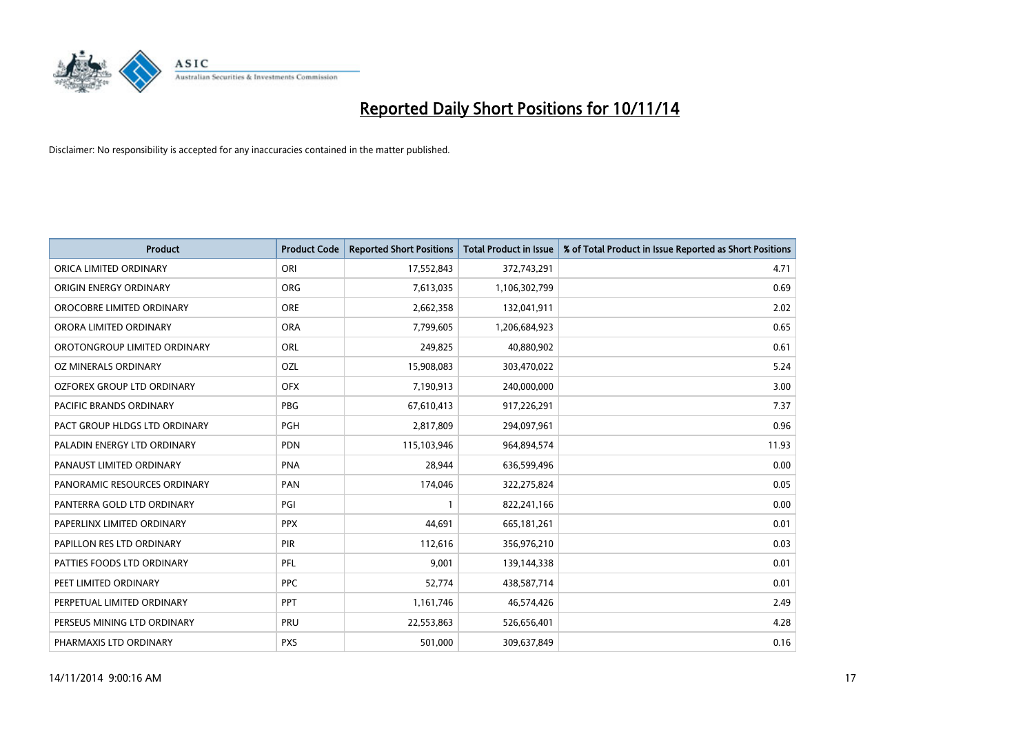

| <b>Product</b>                | <b>Product Code</b> | <b>Reported Short Positions</b> | <b>Total Product in Issue</b> | % of Total Product in Issue Reported as Short Positions |
|-------------------------------|---------------------|---------------------------------|-------------------------------|---------------------------------------------------------|
| ORICA LIMITED ORDINARY        | ORI                 | 17,552,843                      | 372,743,291                   | 4.71                                                    |
| ORIGIN ENERGY ORDINARY        | <b>ORG</b>          | 7,613,035                       | 1,106,302,799                 | 0.69                                                    |
| OROCOBRE LIMITED ORDINARY     | <b>ORE</b>          | 2,662,358                       | 132,041,911                   | 2.02                                                    |
| ORORA LIMITED ORDINARY        | <b>ORA</b>          | 7,799,605                       | 1,206,684,923                 | 0.65                                                    |
| OROTONGROUP LIMITED ORDINARY  | ORL                 | 249,825                         | 40,880,902                    | 0.61                                                    |
| OZ MINERALS ORDINARY          | OZL                 | 15,908,083                      | 303,470,022                   | 5.24                                                    |
| OZFOREX GROUP LTD ORDINARY    | <b>OFX</b>          | 7,190,913                       | 240,000,000                   | 3.00                                                    |
| PACIFIC BRANDS ORDINARY       | <b>PBG</b>          | 67,610,413                      | 917,226,291                   | 7.37                                                    |
| PACT GROUP HLDGS LTD ORDINARY | <b>PGH</b>          | 2,817,809                       | 294,097,961                   | 0.96                                                    |
| PALADIN ENERGY LTD ORDINARY   | <b>PDN</b>          | 115,103,946                     | 964,894,574                   | 11.93                                                   |
| PANAUST LIMITED ORDINARY      | <b>PNA</b>          | 28,944                          | 636,599,496                   | 0.00                                                    |
| PANORAMIC RESOURCES ORDINARY  | PAN                 | 174,046                         | 322,275,824                   | 0.05                                                    |
| PANTERRA GOLD LTD ORDINARY    | PGI                 | $\mathbf{1}$                    | 822,241,166                   | 0.00                                                    |
| PAPERLINX LIMITED ORDINARY    | <b>PPX</b>          | 44,691                          | 665, 181, 261                 | 0.01                                                    |
| PAPILLON RES LTD ORDINARY     | PIR                 | 112,616                         | 356,976,210                   | 0.03                                                    |
| PATTIES FOODS LTD ORDINARY    | PFL                 | 9,001                           | 139,144,338                   | 0.01                                                    |
| PEET LIMITED ORDINARY         | <b>PPC</b>          | 52,774                          | 438,587,714                   | 0.01                                                    |
| PERPETUAL LIMITED ORDINARY    | PPT                 | 1,161,746                       | 46,574,426                    | 2.49                                                    |
| PERSEUS MINING LTD ORDINARY   | PRU                 | 22,553,863                      | 526,656,401                   | 4.28                                                    |
| PHARMAXIS LTD ORDINARY        | <b>PXS</b>          | 501,000                         | 309,637,849                   | 0.16                                                    |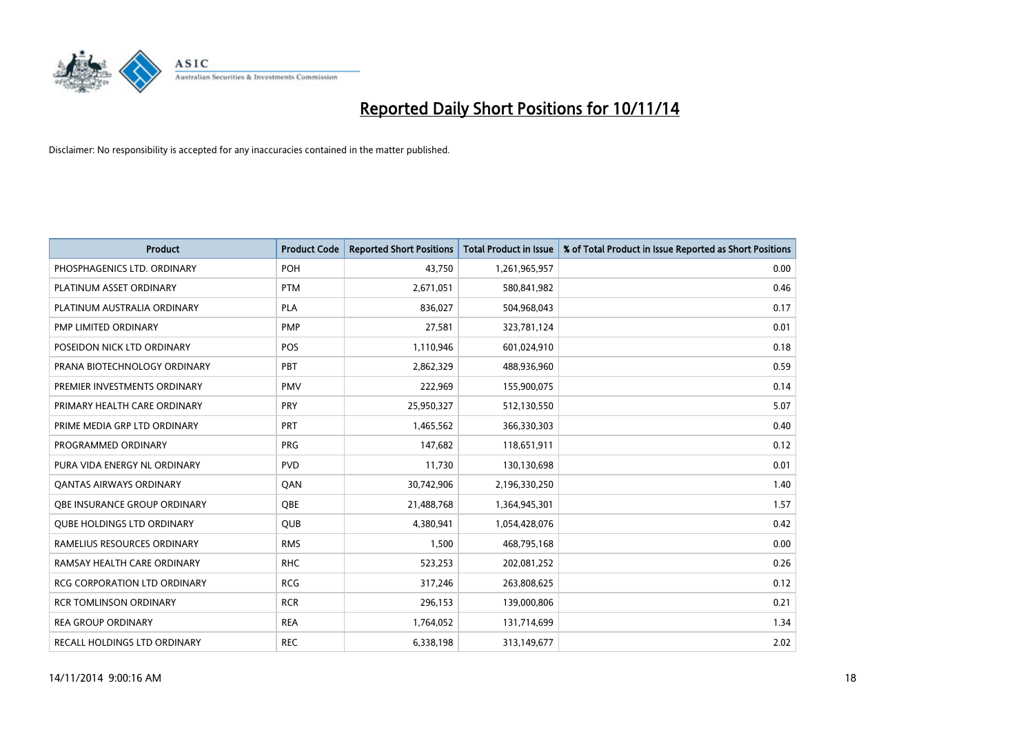

| <b>Product</b>                      | <b>Product Code</b> | <b>Reported Short Positions</b> | <b>Total Product in Issue</b> | % of Total Product in Issue Reported as Short Positions |
|-------------------------------------|---------------------|---------------------------------|-------------------------------|---------------------------------------------------------|
| PHOSPHAGENICS LTD. ORDINARY         | <b>POH</b>          | 43,750                          | 1,261,965,957                 | 0.00                                                    |
| PLATINUM ASSET ORDINARY             | <b>PTM</b>          | 2,671,051                       | 580,841,982                   | 0.46                                                    |
| PLATINUM AUSTRALIA ORDINARY         | <b>PLA</b>          | 836,027                         | 504,968,043                   | 0.17                                                    |
| PMP LIMITED ORDINARY                | <b>PMP</b>          | 27,581                          | 323,781,124                   | 0.01                                                    |
| POSEIDON NICK LTD ORDINARY          | <b>POS</b>          | 1,110,946                       | 601,024,910                   | 0.18                                                    |
| PRANA BIOTECHNOLOGY ORDINARY        | PBT                 | 2,862,329                       | 488,936,960                   | 0.59                                                    |
| PREMIER INVESTMENTS ORDINARY        | <b>PMV</b>          | 222,969                         | 155,900,075                   | 0.14                                                    |
| PRIMARY HEALTH CARE ORDINARY        | <b>PRY</b>          | 25,950,327                      | 512,130,550                   | 5.07                                                    |
| PRIME MEDIA GRP LTD ORDINARY        | <b>PRT</b>          | 1,465,562                       | 366,330,303                   | 0.40                                                    |
| PROGRAMMED ORDINARY                 | <b>PRG</b>          | 147,682                         | 118,651,911                   | 0.12                                                    |
| PURA VIDA ENERGY NL ORDINARY        | <b>PVD</b>          | 11,730                          | 130,130,698                   | 0.01                                                    |
| <b>QANTAS AIRWAYS ORDINARY</b>      | QAN                 | 30,742,906                      | 2,196,330,250                 | 1.40                                                    |
| OBE INSURANCE GROUP ORDINARY        | QBE                 | 21,488,768                      | 1,364,945,301                 | 1.57                                                    |
| <b>QUBE HOLDINGS LTD ORDINARY</b>   | <b>QUB</b>          | 4,380,941                       | 1,054,428,076                 | 0.42                                                    |
| RAMELIUS RESOURCES ORDINARY         | <b>RMS</b>          | 1,500                           | 468,795,168                   | 0.00                                                    |
| RAMSAY HEALTH CARE ORDINARY         | <b>RHC</b>          | 523,253                         | 202,081,252                   | 0.26                                                    |
| <b>RCG CORPORATION LTD ORDINARY</b> | <b>RCG</b>          | 317,246                         | 263,808,625                   | 0.12                                                    |
| <b>RCR TOMLINSON ORDINARY</b>       | <b>RCR</b>          | 296,153                         | 139,000,806                   | 0.21                                                    |
| <b>REA GROUP ORDINARY</b>           | <b>REA</b>          | 1,764,052                       | 131,714,699                   | 1.34                                                    |
| RECALL HOLDINGS LTD ORDINARY        | <b>REC</b>          | 6,338,198                       | 313,149,677                   | 2.02                                                    |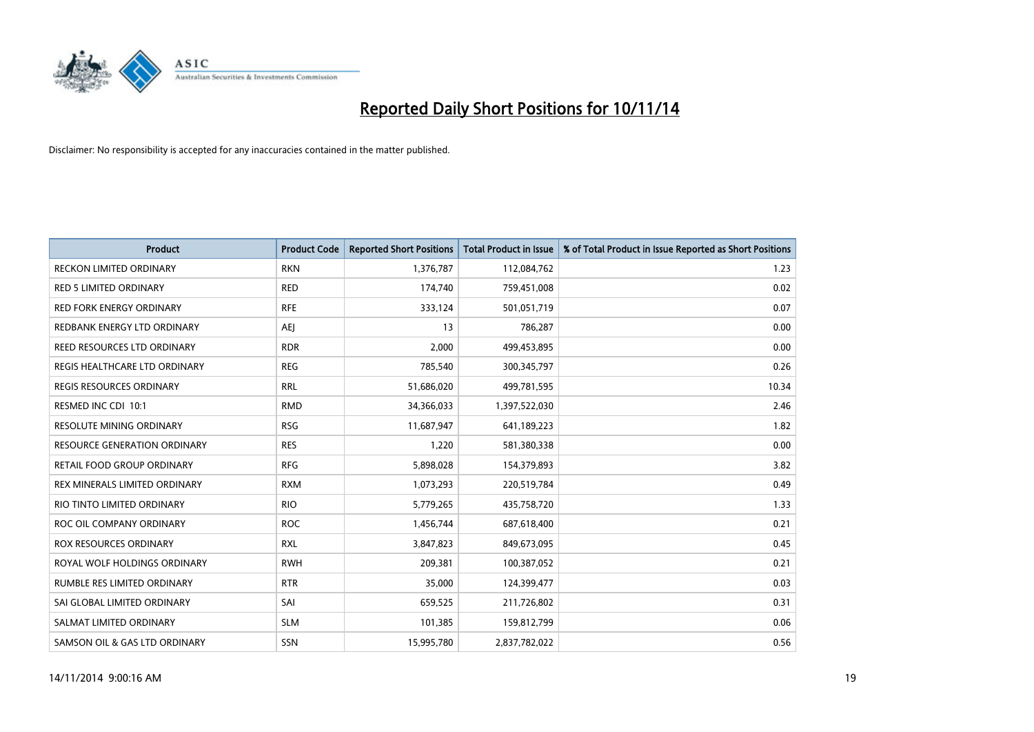

| <b>Product</b>                      | <b>Product Code</b> | <b>Reported Short Positions</b> | <b>Total Product in Issue</b> | % of Total Product in Issue Reported as Short Positions |
|-------------------------------------|---------------------|---------------------------------|-------------------------------|---------------------------------------------------------|
| <b>RECKON LIMITED ORDINARY</b>      | <b>RKN</b>          | 1,376,787                       | 112,084,762                   | 1.23                                                    |
| RED 5 LIMITED ORDINARY              | <b>RED</b>          | 174,740                         | 759,451,008                   | 0.02                                                    |
| <b>RED FORK ENERGY ORDINARY</b>     | <b>RFE</b>          | 333,124                         | 501,051,719                   | 0.07                                                    |
| REDBANK ENERGY LTD ORDINARY         | <b>AEI</b>          | 13                              | 786,287                       | 0.00                                                    |
| REED RESOURCES LTD ORDINARY         | <b>RDR</b>          | 2,000                           | 499,453,895                   | 0.00                                                    |
| REGIS HEALTHCARE LTD ORDINARY       | <b>REG</b>          | 785,540                         | 300,345,797                   | 0.26                                                    |
| <b>REGIS RESOURCES ORDINARY</b>     | <b>RRL</b>          | 51,686,020                      | 499,781,595                   | 10.34                                                   |
| RESMED INC CDI 10:1                 | <b>RMD</b>          | 34,366,033                      | 1,397,522,030                 | 2.46                                                    |
| RESOLUTE MINING ORDINARY            | <b>RSG</b>          | 11,687,947                      | 641,189,223                   | 1.82                                                    |
| <b>RESOURCE GENERATION ORDINARY</b> | <b>RES</b>          | 1,220                           | 581,380,338                   | 0.00                                                    |
| RETAIL FOOD GROUP ORDINARY          | <b>RFG</b>          | 5,898,028                       | 154,379,893                   | 3.82                                                    |
| REX MINERALS LIMITED ORDINARY       | <b>RXM</b>          | 1,073,293                       | 220,519,784                   | 0.49                                                    |
| RIO TINTO LIMITED ORDINARY          | <b>RIO</b>          | 5,779,265                       | 435,758,720                   | 1.33                                                    |
| ROC OIL COMPANY ORDINARY            | <b>ROC</b>          | 1,456,744                       | 687,618,400                   | 0.21                                                    |
| <b>ROX RESOURCES ORDINARY</b>       | <b>RXL</b>          | 3,847,823                       | 849,673,095                   | 0.45                                                    |
| ROYAL WOLF HOLDINGS ORDINARY        | <b>RWH</b>          | 209,381                         | 100,387,052                   | 0.21                                                    |
| RUMBLE RES LIMITED ORDINARY         | <b>RTR</b>          | 35,000                          | 124,399,477                   | 0.03                                                    |
| SAI GLOBAL LIMITED ORDINARY         | SAI                 | 659,525                         | 211,726,802                   | 0.31                                                    |
| SALMAT LIMITED ORDINARY             | <b>SLM</b>          | 101,385                         | 159,812,799                   | 0.06                                                    |
| SAMSON OIL & GAS LTD ORDINARY       | SSN                 | 15,995,780                      | 2,837,782,022                 | 0.56                                                    |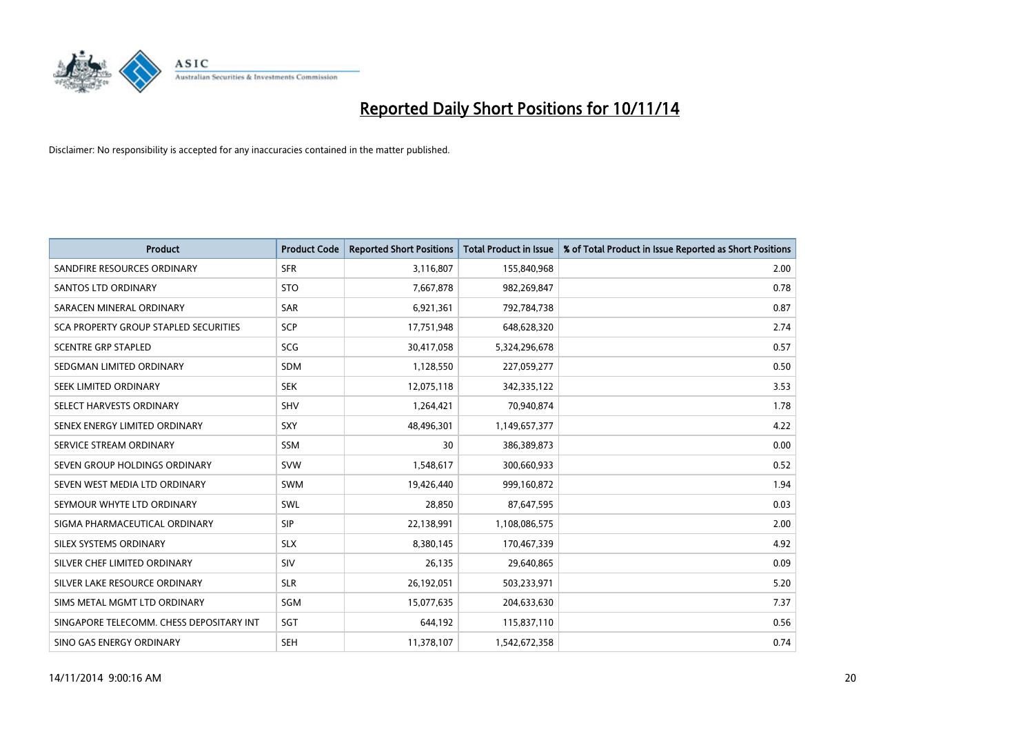

| <b>Product</b>                           | <b>Product Code</b> | <b>Reported Short Positions</b> | <b>Total Product in Issue</b> | % of Total Product in Issue Reported as Short Positions |
|------------------------------------------|---------------------|---------------------------------|-------------------------------|---------------------------------------------------------|
| SANDFIRE RESOURCES ORDINARY              | <b>SFR</b>          | 3,116,807                       | 155,840,968                   | 2.00                                                    |
| <b>SANTOS LTD ORDINARY</b>               | <b>STO</b>          | 7,667,878                       | 982,269,847                   | 0.78                                                    |
| SARACEN MINERAL ORDINARY                 | SAR                 | 6,921,361                       | 792,784,738                   | 0.87                                                    |
| SCA PROPERTY GROUP STAPLED SECURITIES    | <b>SCP</b>          | 17,751,948                      | 648,628,320                   | 2.74                                                    |
| <b>SCENTRE GRP STAPLED</b>               | SCG                 | 30,417,058                      | 5,324,296,678                 | 0.57                                                    |
| SEDGMAN LIMITED ORDINARY                 | SDM                 | 1,128,550                       | 227,059,277                   | 0.50                                                    |
| SEEK LIMITED ORDINARY                    | <b>SEK</b>          | 12,075,118                      | 342,335,122                   | 3.53                                                    |
| SELECT HARVESTS ORDINARY                 | SHV                 | 1,264,421                       | 70,940,874                    | 1.78                                                    |
| SENEX ENERGY LIMITED ORDINARY            | <b>SXY</b>          | 48,496,301                      | 1,149,657,377                 | 4.22                                                    |
| SERVICE STREAM ORDINARY                  | <b>SSM</b>          | 30                              | 386,389,873                   | 0.00                                                    |
| SEVEN GROUP HOLDINGS ORDINARY            | <b>SVW</b>          | 1,548,617                       | 300,660,933                   | 0.52                                                    |
| SEVEN WEST MEDIA LTD ORDINARY            | <b>SWM</b>          | 19,426,440                      | 999,160,872                   | 1.94                                                    |
| SEYMOUR WHYTE LTD ORDINARY               | SWL                 | 28,850                          | 87,647,595                    | 0.03                                                    |
| SIGMA PHARMACEUTICAL ORDINARY            | <b>SIP</b>          | 22,138,991                      | 1,108,086,575                 | 2.00                                                    |
| SILEX SYSTEMS ORDINARY                   | <b>SLX</b>          | 8,380,145                       | 170,467,339                   | 4.92                                                    |
| SILVER CHEF LIMITED ORDINARY             | SIV                 | 26,135                          | 29,640,865                    | 0.09                                                    |
| SILVER LAKE RESOURCE ORDINARY            | <b>SLR</b>          | 26,192,051                      | 503,233,971                   | 5.20                                                    |
| SIMS METAL MGMT LTD ORDINARY             | SGM                 | 15,077,635                      | 204,633,630                   | 7.37                                                    |
| SINGAPORE TELECOMM. CHESS DEPOSITARY INT | SGT                 | 644,192                         | 115,837,110                   | 0.56                                                    |
| SINO GAS ENERGY ORDINARY                 | <b>SEH</b>          | 11,378,107                      | 1,542,672,358                 | 0.74                                                    |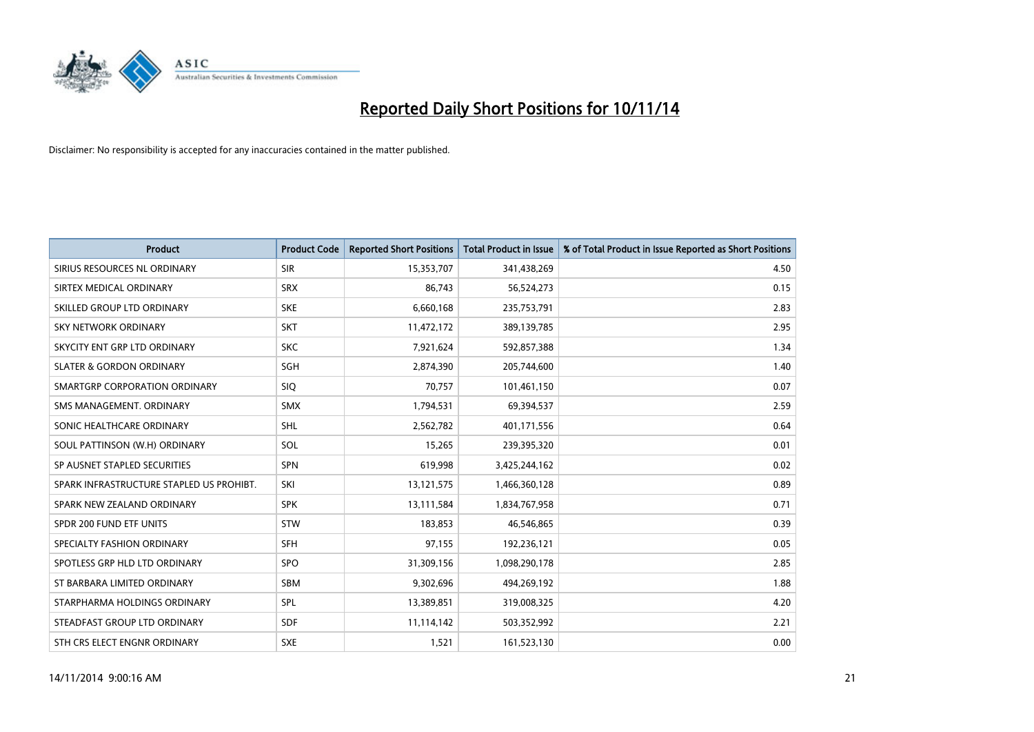

| Product                                  | <b>Product Code</b> | <b>Reported Short Positions</b> | <b>Total Product in Issue</b> | % of Total Product in Issue Reported as Short Positions |
|------------------------------------------|---------------------|---------------------------------|-------------------------------|---------------------------------------------------------|
| SIRIUS RESOURCES NL ORDINARY             | <b>SIR</b>          | 15,353,707                      | 341,438,269                   | 4.50                                                    |
| SIRTEX MEDICAL ORDINARY                  | <b>SRX</b>          | 86.743                          | 56,524,273                    | 0.15                                                    |
| SKILLED GROUP LTD ORDINARY               | <b>SKE</b>          | 6,660,168                       | 235,753,791                   | 2.83                                                    |
| SKY NETWORK ORDINARY                     | <b>SKT</b>          | 11,472,172                      | 389,139,785                   | 2.95                                                    |
| SKYCITY ENT GRP LTD ORDINARY             | <b>SKC</b>          | 7,921,624                       | 592,857,388                   | 1.34                                                    |
| <b>SLATER &amp; GORDON ORDINARY</b>      | SGH                 | 2,874,390                       | 205,744,600                   | 1.40                                                    |
| SMARTGRP CORPORATION ORDINARY            | <b>SIQ</b>          | 70,757                          | 101,461,150                   | 0.07                                                    |
| SMS MANAGEMENT. ORDINARY                 | <b>SMX</b>          | 1,794,531                       | 69,394,537                    | 2.59                                                    |
| SONIC HEALTHCARE ORDINARY                | <b>SHL</b>          | 2,562,782                       | 401,171,556                   | 0.64                                                    |
| SOUL PATTINSON (W.H) ORDINARY            | SOL                 | 15,265                          | 239,395,320                   | 0.01                                                    |
| SP AUSNET STAPLED SECURITIES             | SPN                 | 619,998                         | 3,425,244,162                 | 0.02                                                    |
| SPARK INFRASTRUCTURE STAPLED US PROHIBT. | SKI                 | 13,121,575                      | 1,466,360,128                 | 0.89                                                    |
| SPARK NEW ZEALAND ORDINARY               | <b>SPK</b>          | 13,111,584                      | 1,834,767,958                 | 0.71                                                    |
| SPDR 200 FUND ETF UNITS                  | <b>STW</b>          | 183,853                         | 46,546,865                    | 0.39                                                    |
| SPECIALTY FASHION ORDINARY               | <b>SFH</b>          | 97,155                          | 192,236,121                   | 0.05                                                    |
| SPOTLESS GRP HLD LTD ORDINARY            | <b>SPO</b>          | 31,309,156                      | 1,098,290,178                 | 2.85                                                    |
| ST BARBARA LIMITED ORDINARY              | <b>SBM</b>          | 9,302,696                       | 494,269,192                   | 1.88                                                    |
| STARPHARMA HOLDINGS ORDINARY             | SPL                 | 13,389,851                      | 319,008,325                   | 4.20                                                    |
| STEADFAST GROUP LTD ORDINARY             | <b>SDF</b>          | 11,114,142                      | 503,352,992                   | 2.21                                                    |
| STH CRS ELECT ENGNR ORDINARY             | <b>SXE</b>          | 1,521                           | 161,523,130                   | 0.00                                                    |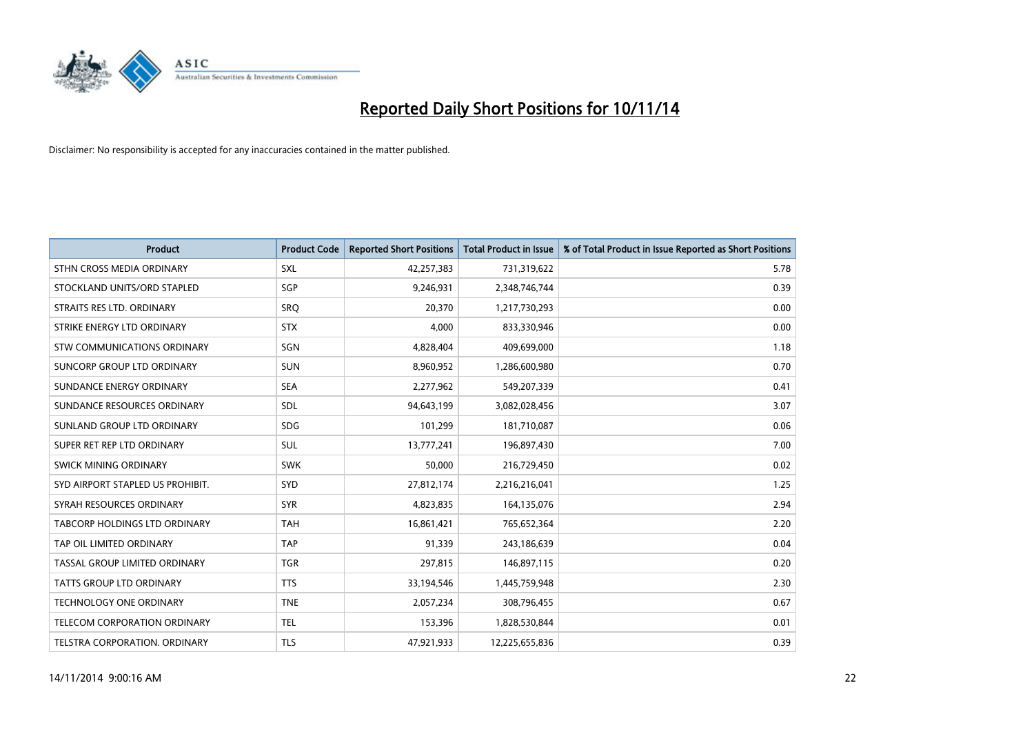

| <b>Product</b>                       | <b>Product Code</b> | <b>Reported Short Positions</b> | <b>Total Product in Issue</b> | % of Total Product in Issue Reported as Short Positions |
|--------------------------------------|---------------------|---------------------------------|-------------------------------|---------------------------------------------------------|
| STHN CROSS MEDIA ORDINARY            | <b>SXL</b>          | 42,257,383                      | 731,319,622                   | 5.78                                                    |
| STOCKLAND UNITS/ORD STAPLED          | SGP                 | 9,246,931                       | 2,348,746,744                 | 0.39                                                    |
| STRAITS RES LTD. ORDINARY            | <b>SRQ</b>          | 20,370                          | 1,217,730,293                 | 0.00                                                    |
| STRIKE ENERGY LTD ORDINARY           | <b>STX</b>          | 4,000                           | 833,330,946                   | 0.00                                                    |
| <b>STW COMMUNICATIONS ORDINARY</b>   | SGN                 | 4,828,404                       | 409,699,000                   | 1.18                                                    |
| SUNCORP GROUP LTD ORDINARY           | <b>SUN</b>          | 8,960,952                       | 1,286,600,980                 | 0.70                                                    |
| SUNDANCE ENERGY ORDINARY             | <b>SEA</b>          | 2,277,962                       | 549,207,339                   | 0.41                                                    |
| SUNDANCE RESOURCES ORDINARY          | SDL                 | 94,643,199                      | 3,082,028,456                 | 3.07                                                    |
| SUNLAND GROUP LTD ORDINARY           | <b>SDG</b>          | 101,299                         | 181,710,087                   | 0.06                                                    |
| SUPER RET REP LTD ORDINARY           | <b>SUL</b>          | 13,777,241                      | 196,897,430                   | 7.00                                                    |
| SWICK MINING ORDINARY                | <b>SWK</b>          | 50,000                          | 216,729,450                   | 0.02                                                    |
| SYD AIRPORT STAPLED US PROHIBIT.     | SYD                 | 27,812,174                      | 2,216,216,041                 | 1.25                                                    |
| SYRAH RESOURCES ORDINARY             | <b>SYR</b>          | 4,823,835                       | 164,135,076                   | 2.94                                                    |
| <b>TABCORP HOLDINGS LTD ORDINARY</b> | <b>TAH</b>          | 16,861,421                      | 765,652,364                   | 2.20                                                    |
| TAP OIL LIMITED ORDINARY             | <b>TAP</b>          | 91,339                          | 243,186,639                   | 0.04                                                    |
| TASSAL GROUP LIMITED ORDINARY        | <b>TGR</b>          | 297,815                         | 146,897,115                   | 0.20                                                    |
| <b>TATTS GROUP LTD ORDINARY</b>      | <b>TTS</b>          | 33,194,546                      | 1,445,759,948                 | 2.30                                                    |
| TECHNOLOGY ONE ORDINARY              | <b>TNE</b>          | 2,057,234                       | 308,796,455                   | 0.67                                                    |
| TELECOM CORPORATION ORDINARY         | <b>TEL</b>          | 153,396                         | 1,828,530,844                 | 0.01                                                    |
| TELSTRA CORPORATION, ORDINARY        | <b>TLS</b>          | 47,921,933                      | 12,225,655,836                | 0.39                                                    |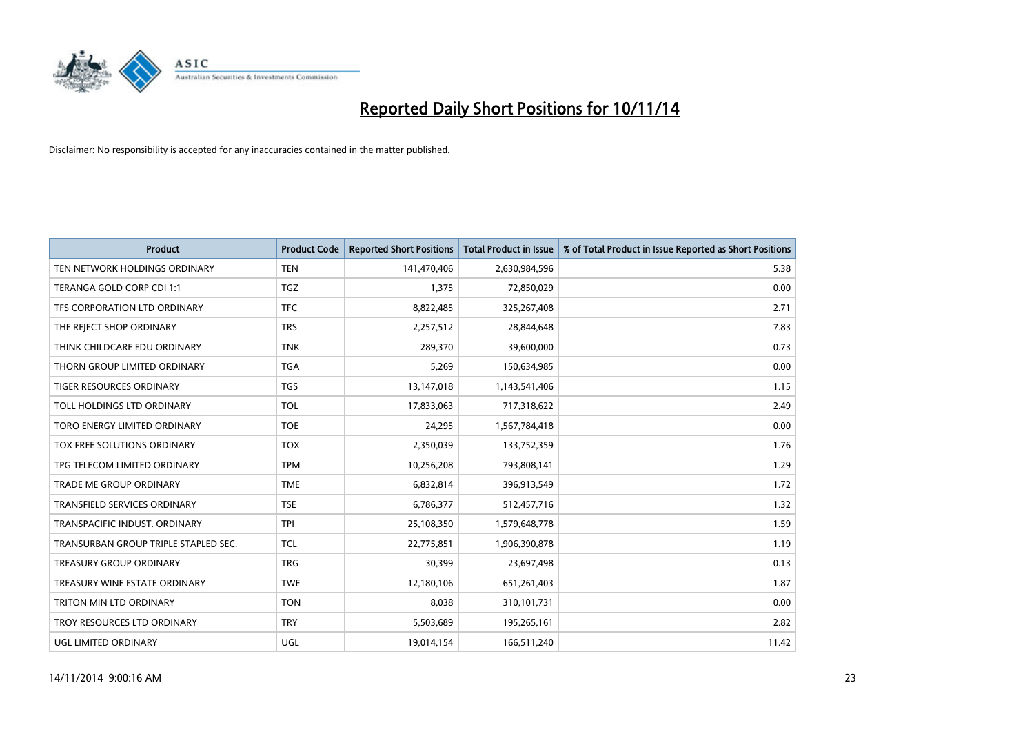

| <b>Product</b>                       | <b>Product Code</b> | <b>Reported Short Positions</b> | <b>Total Product in Issue</b> | % of Total Product in Issue Reported as Short Positions |
|--------------------------------------|---------------------|---------------------------------|-------------------------------|---------------------------------------------------------|
| TEN NETWORK HOLDINGS ORDINARY        | <b>TEN</b>          | 141,470,406                     | 2,630,984,596                 | 5.38                                                    |
| TERANGA GOLD CORP CDI 1:1            | TGZ                 | 1,375                           | 72,850,029                    | 0.00                                                    |
| TFS CORPORATION LTD ORDINARY         | <b>TFC</b>          | 8,822,485                       | 325,267,408                   | 2.71                                                    |
| THE REJECT SHOP ORDINARY             | <b>TRS</b>          | 2,257,512                       | 28,844,648                    | 7.83                                                    |
| THINK CHILDCARE EDU ORDINARY         | <b>TNK</b>          | 289,370                         | 39,600,000                    | 0.73                                                    |
| THORN GROUP LIMITED ORDINARY         | <b>TGA</b>          | 5,269                           | 150,634,985                   | 0.00                                                    |
| TIGER RESOURCES ORDINARY             | <b>TGS</b>          | 13,147,018                      | 1,143,541,406                 | 1.15                                                    |
| TOLL HOLDINGS LTD ORDINARY           | <b>TOL</b>          | 17,833,063                      | 717,318,622                   | 2.49                                                    |
| TORO ENERGY LIMITED ORDINARY         | <b>TOE</b>          | 24,295                          | 1,567,784,418                 | 0.00                                                    |
| <b>TOX FREE SOLUTIONS ORDINARY</b>   | <b>TOX</b>          | 2,350,039                       | 133,752,359                   | 1.76                                                    |
| TPG TELECOM LIMITED ORDINARY         | <b>TPM</b>          | 10,256,208                      | 793,808,141                   | 1.29                                                    |
| <b>TRADE ME GROUP ORDINARY</b>       | <b>TME</b>          | 6,832,814                       | 396,913,549                   | 1.72                                                    |
| TRANSFIELD SERVICES ORDINARY         | <b>TSE</b>          | 6,786,377                       | 512,457,716                   | 1.32                                                    |
| TRANSPACIFIC INDUST, ORDINARY        | TPI                 | 25,108,350                      | 1,579,648,778                 | 1.59                                                    |
| TRANSURBAN GROUP TRIPLE STAPLED SEC. | <b>TCL</b>          | 22,775,851                      | 1,906,390,878                 | 1.19                                                    |
| TREASURY GROUP ORDINARY              | <b>TRG</b>          | 30,399                          | 23,697,498                    | 0.13                                                    |
| TREASURY WINE ESTATE ORDINARY        | <b>TWE</b>          | 12,180,106                      | 651,261,403                   | 1.87                                                    |
| TRITON MIN LTD ORDINARY              | <b>TON</b>          | 8,038                           | 310,101,731                   | 0.00                                                    |
| TROY RESOURCES LTD ORDINARY          | <b>TRY</b>          | 5,503,689                       | 195,265,161                   | 2.82                                                    |
| UGL LIMITED ORDINARY                 | UGL                 | 19,014,154                      | 166,511,240                   | 11.42                                                   |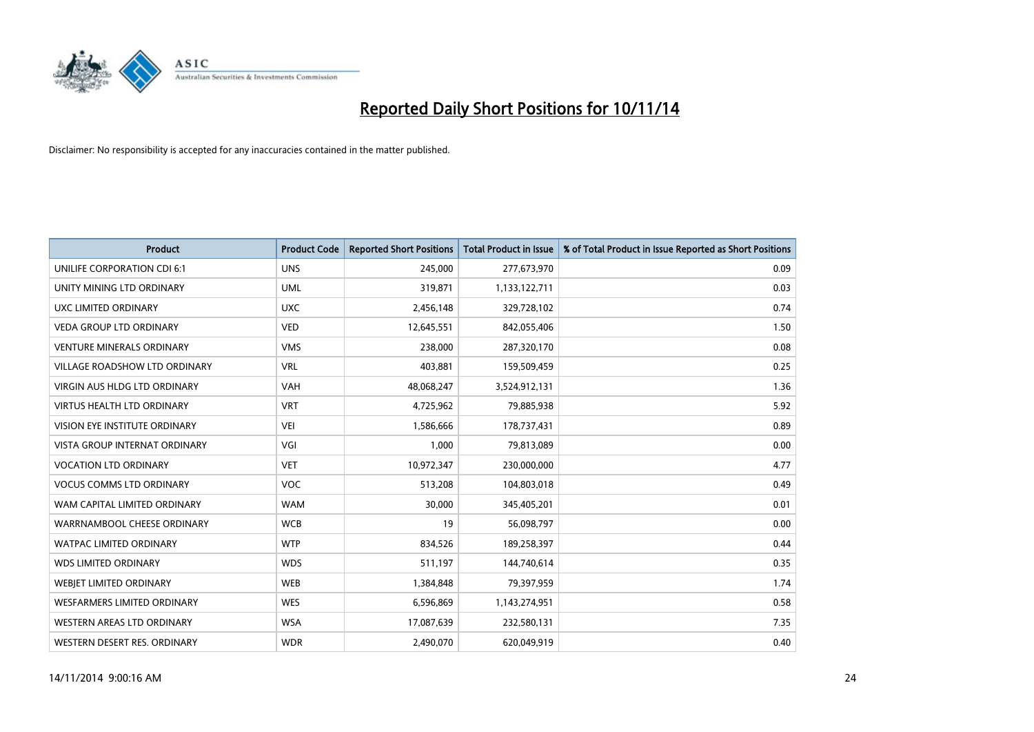

| <b>Product</b>                       | <b>Product Code</b> | <b>Reported Short Positions</b> | <b>Total Product in Issue</b> | % of Total Product in Issue Reported as Short Positions |
|--------------------------------------|---------------------|---------------------------------|-------------------------------|---------------------------------------------------------|
| <b>UNILIFE CORPORATION CDI 6:1</b>   | <b>UNS</b>          | 245,000                         | 277,673,970                   | 0.09                                                    |
| UNITY MINING LTD ORDINARY            | <b>UML</b>          | 319,871                         | 1,133,122,711                 | 0.03                                                    |
| UXC LIMITED ORDINARY                 | <b>UXC</b>          | 2,456,148                       | 329,728,102                   | 0.74                                                    |
| <b>VEDA GROUP LTD ORDINARY</b>       | <b>VED</b>          | 12,645,551                      | 842,055,406                   | 1.50                                                    |
| <b>VENTURE MINERALS ORDINARY</b>     | <b>VMS</b>          | 238,000                         | 287,320,170                   | 0.08                                                    |
| <b>VILLAGE ROADSHOW LTD ORDINARY</b> | <b>VRL</b>          | 403,881                         | 159,509,459                   | 0.25                                                    |
| <b>VIRGIN AUS HLDG LTD ORDINARY</b>  | <b>VAH</b>          | 48,068,247                      | 3,524,912,131                 | 1.36                                                    |
| VIRTUS HEALTH LTD ORDINARY           | <b>VRT</b>          | 4,725,962                       | 79,885,938                    | 5.92                                                    |
| VISION EYE INSTITUTE ORDINARY        | <b>VEI</b>          | 1,586,666                       | 178,737,431                   | 0.89                                                    |
| VISTA GROUP INTERNAT ORDINARY        | VGI                 | 1,000                           | 79,813,089                    | 0.00                                                    |
| <b>VOCATION LTD ORDINARY</b>         | <b>VET</b>          | 10,972,347                      | 230,000,000                   | 4.77                                                    |
| <b>VOCUS COMMS LTD ORDINARY</b>      | <b>VOC</b>          | 513,208                         | 104,803,018                   | 0.49                                                    |
| WAM CAPITAL LIMITED ORDINARY         | <b>WAM</b>          | 30,000                          | 345,405,201                   | 0.01                                                    |
| WARRNAMBOOL CHEESE ORDINARY          | <b>WCB</b>          | 19                              | 56,098,797                    | 0.00                                                    |
| <b>WATPAC LIMITED ORDINARY</b>       | <b>WTP</b>          | 834,526                         | 189,258,397                   | 0.44                                                    |
| <b>WDS LIMITED ORDINARY</b>          | <b>WDS</b>          | 511,197                         | 144,740,614                   | 0.35                                                    |
| WEBJET LIMITED ORDINARY              | WEB                 | 1,384,848                       | 79,397,959                    | 1.74                                                    |
| <b>WESFARMERS LIMITED ORDINARY</b>   | <b>WES</b>          | 6,596,869                       | 1,143,274,951                 | 0.58                                                    |
| WESTERN AREAS LTD ORDINARY           | <b>WSA</b>          | 17,087,639                      | 232,580,131                   | 7.35                                                    |
| WESTERN DESERT RES. ORDINARY         | <b>WDR</b>          | 2,490,070                       | 620,049,919                   | 0.40                                                    |